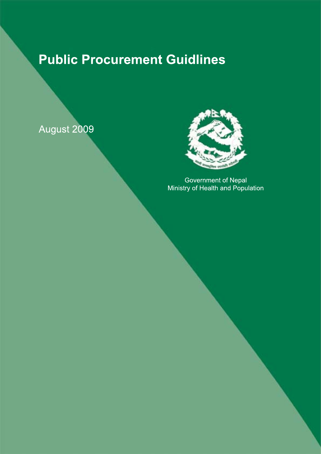# **Public Procurement Guidlines**

August 2009



Government of Nepal Ministry of Health and Population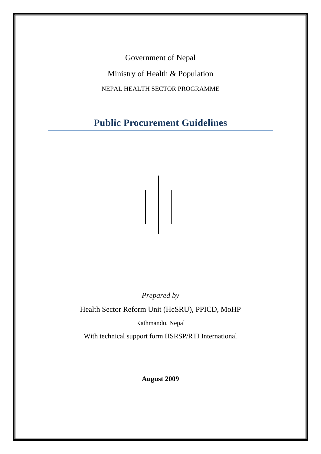Government of Nepal Ministry of Health & Population NEPAL HEALTH SECTOR PROGRAMME

**Public Procurement Guidelines** 

*Prepared by* 

Health Sector Reform Unit (HeSRU), PPICD, MoHP

Kathmandu, Nepal

With technical support form HSRSP/RTI International

**August 2009**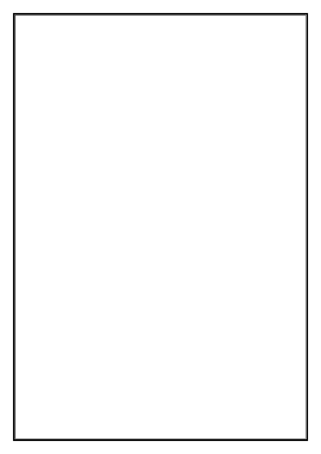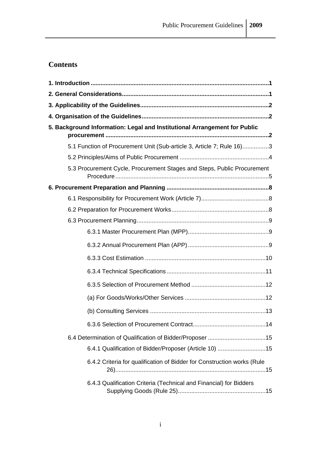# **Contents**

| 5. Background Information: Legal and Institutional Arrangement for Public |
|---------------------------------------------------------------------------|
| 5.1 Function of Procurement Unit (Sub-article 3, Article 7; Rule 16)3     |
|                                                                           |
| 5.3 Procurement Cycle, Procurement Stages and Steps, Public Procurement   |
|                                                                           |
|                                                                           |
|                                                                           |
|                                                                           |
|                                                                           |
|                                                                           |
|                                                                           |
|                                                                           |
|                                                                           |
|                                                                           |
|                                                                           |
|                                                                           |
|                                                                           |
| 6.4.1 Qualification of Bidder/Proposer (Article 10) 15                    |
| 6.4.2 Criteria for qualification of Bidder for Construction works (Rule   |
| 6.4.3 Qualification Criteria (Technical and Financial) for Bidders        |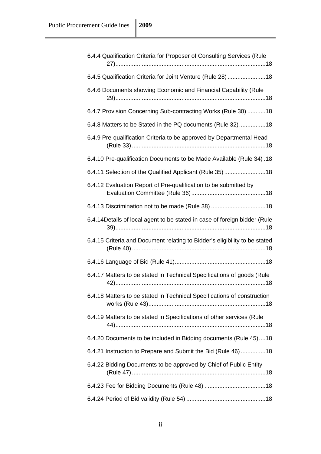| 6.4.4 Qualification Criteria for Proposer of Consulting Services (Rule     |
|----------------------------------------------------------------------------|
| 6.4.5 Qualification Criteria for Joint Venture (Rule 28) 18                |
| 6.4.6 Documents showing Economic and Financial Capability (Rule            |
| 6.4.7 Provision Concerning Sub-contracting Works (Rule 30)  18             |
| 6.4.8 Matters to be Stated in the PQ documents (Rule 32)18                 |
| 6.4.9 Pre-qualification Criteria to be approved by Departmental Head       |
| 6.4.10 Pre-qualification Documents to be Made Available (Rule 34) .18      |
| 6.4.11 Selection of the Qualified Applicant (Rule 35)18                    |
| 6.4.12 Evaluation Report of Pre-qualification to be submitted by           |
| 6.4.13 Discrimination not to be made (Rule 38) 18                          |
| 6.4.14Details of local agent to be stated in case of foreign bidder (Rule  |
| 6.4.15 Criteria and Document relating to Bidder's eligibility to be stated |
|                                                                            |
| 6.4.17 Matters to be stated in Technical Specifications of goods (Rule     |
| 6.4.18 Matters to be stated in Technical Specifications of construction    |
| 6.4.19 Matters to be stated in Specifications of other services (Rule      |
| 6.4.20 Documents to be included in Bidding documents (Rule 45)18           |
| 6.4.21 Instruction to Prepare and Submit the Bid (Rule 46) 18              |
| 6.4.22 Bidding Documents to be approved by Chief of Public Entity          |
|                                                                            |
|                                                                            |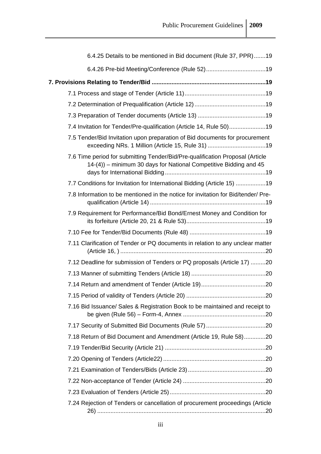| 6.4.25 Details to be mentioned in Bid document (Rule 37, PPR)19                                                                                    |
|----------------------------------------------------------------------------------------------------------------------------------------------------|
|                                                                                                                                                    |
|                                                                                                                                                    |
|                                                                                                                                                    |
|                                                                                                                                                    |
|                                                                                                                                                    |
| 7.4 Invitation for Tender/Pre-qualification (Article 14, Rule 50)19                                                                                |
| 7.5 Tender/Bid Invitation upon preparation of Bid documents for procurement<br>exceeding NRs. 1 Million (Article 15, Rule 31) 19                   |
| 7.6 Time period for submitting Tender/Bid/Pre-qualification Proposal (Article<br>14-(4)) – minimum 30 days for National Competitive Bidding and 45 |
| 7.7 Conditions for Invitation for International Bidding (Article 15) 19                                                                            |
| 7.8 Information to be mentioned in the notice for invitation for Bid/tender/ Pre-                                                                  |
| 7.9 Requirement for Performance/Bid Bond/Ernest Money and Condition for                                                                            |
|                                                                                                                                                    |
| 7.11 Clarification of Tender or PQ documents in relation to any unclear matter                                                                     |
| 7.12 Deadline for submission of Tenders or PQ proposals (Article 17) 20                                                                            |
|                                                                                                                                                    |
|                                                                                                                                                    |
|                                                                                                                                                    |
| 7.16 Bid Issuance/ Sales & Registration Book to be maintained and receipt to                                                                       |
|                                                                                                                                                    |
| 7.18 Return of Bid Document and Amendment (Article 19, Rule 58)20                                                                                  |
|                                                                                                                                                    |
|                                                                                                                                                    |
|                                                                                                                                                    |
|                                                                                                                                                    |
|                                                                                                                                                    |
| 7.24 Rejection of Tenders or cancellation of procurement proceedings (Article                                                                      |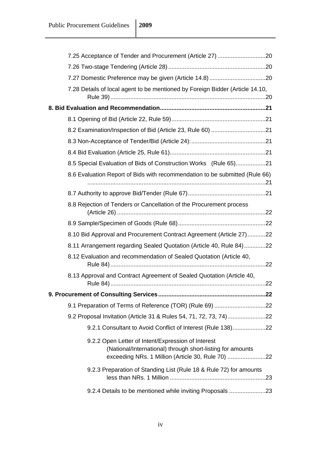| 7.25 Acceptance of Tender and Procurement (Article 27) 20                                                                                                             |  |
|-----------------------------------------------------------------------------------------------------------------------------------------------------------------------|--|
|                                                                                                                                                                       |  |
|                                                                                                                                                                       |  |
| 7.28 Details of local agent to be mentioned by Foreign Bidder (Article 14.10,                                                                                         |  |
|                                                                                                                                                                       |  |
|                                                                                                                                                                       |  |
|                                                                                                                                                                       |  |
|                                                                                                                                                                       |  |
|                                                                                                                                                                       |  |
| 8.5 Special Evaluation of Bids of Construction Works (Rule 65)21                                                                                                      |  |
| 8.6 Evaluation Report of Bids with recommendation to be submitted (Rule 66)                                                                                           |  |
|                                                                                                                                                                       |  |
| 8.8 Rejection of Tenders or Cancellation of the Procurement process                                                                                                   |  |
|                                                                                                                                                                       |  |
| 8.10 Bid Approval and Procurement Contract Agreement (Article 27)22                                                                                                   |  |
| 8.11 Arrangement regarding Sealed Quotation (Article 40, Rule 84)22                                                                                                   |  |
| 8.12 Evaluation and recommendation of Sealed Quotation (Article 40,                                                                                                   |  |
| 8.13 Approval and Contract Agreement of Sealed Quotation (Article 40,                                                                                                 |  |
|                                                                                                                                                                       |  |
|                                                                                                                                                                       |  |
|                                                                                                                                                                       |  |
| 9.2.1 Consultant to Avoid Conflict of Interest (Rule 138)22                                                                                                           |  |
| 9.2.2 Open Letter of Intent/Expression of Interest<br>(National/International) through short-listing for amounts<br>exceeding NRs. 1 Million (Article 30, Rule 70) 22 |  |
| 9.2.3 Preparation of Standing List (Rule 18 & Rule 72) for amounts                                                                                                    |  |
| 9.2.4 Details to be mentioned while inviting Proposals 23                                                                                                             |  |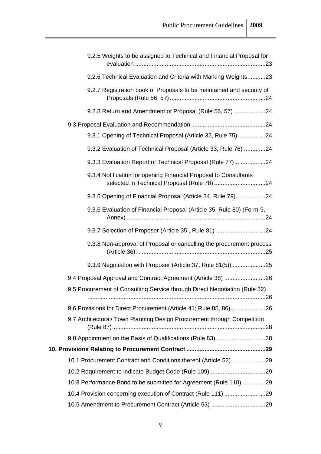| 9.2.5 Weights to be assigned to Technical and Financial Proposal for       |
|----------------------------------------------------------------------------|
| 9.2.6 Technical Evaluation and Criteria with Marking Weights23             |
| 9.2.7 Registration book of Proposals to be maintained and security of      |
| 9.2.8 Return and Amendment of Proposal (Rule 56, 57) 24                    |
|                                                                            |
| 9.3.1 Opening of Technical Proposal (Article 32, Rule 75)24                |
| 9.3.2 Evaluation of Technical Proposal (Article 33, Rule 76) 24            |
| 9.3.3 Evaluation Report of Technical Proposal (Rule 77)24                  |
| 9.3.4 Notification for opening Financial Proposal to Consultants           |
| 9.3.5 Opening of Financial Proposal (Article 34, Rule 79)24                |
| 9.3.6 Evaluation of Financial Proposal (Article 35, Rule 80) (Form-9,      |
| 9.3.7 Selection of Proposer (Article 35, Rule 81) 24                       |
| 9.3.8 Non-approval of Proposal or cancelling the procurement process       |
| 9.3.9 Negotiation with Proposer (Article 37, Rule 81(5)) 25                |
| 9.4 Proposal Approval and Contract Agreement (Article 38) 26               |
| 9.5 Procurement of Consulting Service through Direct Negotiation (Rule 82) |
| 9.6 Provisions for Direct Procurement (Article 41; Rule 85, 86)26          |
| 9.7 Architectural/ Town Planning Design Procurement through Competition    |
|                                                                            |
|                                                                            |
| 10.1 Procurement Contract and Conditions thereof (Article 52)29            |
|                                                                            |
| 10.3 Performance Bond to be submitted for Agreement (Rule 110) 29          |
| 10.4 Provision concerning execution of Contract (Rule 111) 29              |
|                                                                            |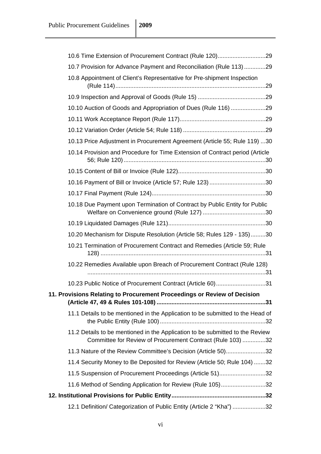| 10.6 Time Extension of Procurement Contract (Rule 120)29                                                                                    |  |
|---------------------------------------------------------------------------------------------------------------------------------------------|--|
| 10.7 Provision for Advance Payment and Reconciliation (Rule 113)29                                                                          |  |
| 10.8 Appointment of Client's Representative for Pre-shipment Inspection                                                                     |  |
|                                                                                                                                             |  |
| 10.10 Auction of Goods and Appropriation of Dues (Rule 116) 29                                                                              |  |
|                                                                                                                                             |  |
|                                                                                                                                             |  |
| 10.13 Price Adjustment in Procurement Agreement (Article 55; Rule 119) 30                                                                   |  |
| 10.14 Provision and Procedure for Time Extension of Contract period (Article                                                                |  |
|                                                                                                                                             |  |
| 10.16 Payment of Bill or Invoice (Article 57; Rule 123)30                                                                                   |  |
|                                                                                                                                             |  |
| 10.18 Due Payment upon Termination of Contract by Public Entity for Public                                                                  |  |
|                                                                                                                                             |  |
| 10.20 Mechanism for Dispute Resolution (Article 58; Rules 129 - 135)30                                                                      |  |
| 10.21 Termination of Procurement Contract and Remedies (Article 59; Rule                                                                    |  |
| 10.22 Remedies Available upon Breach of Procurement Contract (Rule 128)                                                                     |  |
| 10.23 Public Notice of Procurement Contract (Article 60)31                                                                                  |  |
| 11. Provisions Relating to Procurement Proceedings or Review of Decision                                                                    |  |
| 11.1 Details to be mentioned in the Application to be submitted to the Head of                                                              |  |
| 11.2 Details to be mentioned in the Application to be submitted to the Review<br>Committee for Review of Procurement Contract (Rule 103) 32 |  |
| 11.3 Nature of the Review Committee's Decision (Article 50)32                                                                               |  |
| 11.4 Security Money to Be Deposited for Review (Article 50; Rule 104) 32                                                                    |  |
| 11.5 Suspension of Procurement Proceedings (Article 51)32                                                                                   |  |
| 11.6 Method of Sending Application for Review (Rule 105)32                                                                                  |  |
|                                                                                                                                             |  |
| 12.1 Definition/ Categorization of Public Entity (Article 2 "Kha") 32                                                                       |  |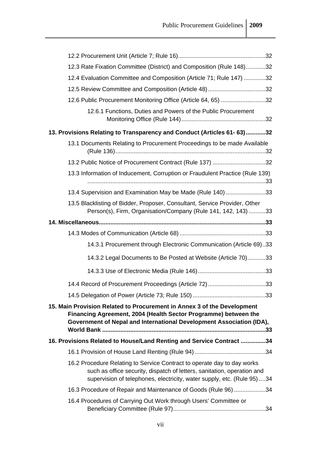| 12.3 Rate Fixation Committee (District) and Composition (Rule 148)32                                                                                                                                                          |
|-------------------------------------------------------------------------------------------------------------------------------------------------------------------------------------------------------------------------------|
| 12.4 Evaluation Committee and Composition (Article 71; Rule 147) 32                                                                                                                                                           |
| 12.5 Review Committee and Composition (Article 48)32                                                                                                                                                                          |
| 12.6 Public Procurement Monitoring Office (Article 64, 65) 32                                                                                                                                                                 |
| 12.6.1 Functions, Duties and Powers of the Public Procurement                                                                                                                                                                 |
| 13. Provisions Relating to Transparency and Conduct (Articles 61-63)32                                                                                                                                                        |
| 13.1 Documents Relating to Procurement Proceedings to be made Available                                                                                                                                                       |
| 13.2 Public Notice of Procurement Contract (Rule 137) 32                                                                                                                                                                      |
| 13.3 Information of Inducement, Corruption or Fraudulent Practice (Rule 139)                                                                                                                                                  |
| 13.4 Supervision and Examination May be Made (Rule 140) 33                                                                                                                                                                    |
| 13.5 Blacklisting of Bidder, Proposer, Consultant, Service Provider, Other<br>Person(s), Firm, Organisation/Company (Rule 141, 142, 143) 33                                                                                   |
|                                                                                                                                                                                                                               |
|                                                                                                                                                                                                                               |
| 14.3.1 Procurement through Electronic Communication (Article 69)33                                                                                                                                                            |
| 14.3.2 Legal Documents to Be Posted at Website (Article 70)33                                                                                                                                                                 |
|                                                                                                                                                                                                                               |
| 14.4 Record of Procurement Proceedings (Article 72)33                                                                                                                                                                         |
|                                                                                                                                                                                                                               |
| 15. Main Provision Related to Procurement in Annex 3 of the Development<br>Financing Agreement, 2004 (Health Sector Programme) between the<br>Government of Nepal and International Development Association (IDA),            |
| 16. Provisions Related to House/Land Renting and Service Contract 34                                                                                                                                                          |
|                                                                                                                                                                                                                               |
| 16.2 Procedure Relating to Service Contract to operate day to day works<br>such as office security, dispatch of letters, sanitation, operation and<br>supervision of telephones, electricity, water supply, etc. (Rule 95) 34 |
| 16.3 Procedure of Repair and Maintenance of Goods (Rule 96) 34                                                                                                                                                                |
| 16.4 Procedures of Carrying Out Work through Users' Committee or                                                                                                                                                              |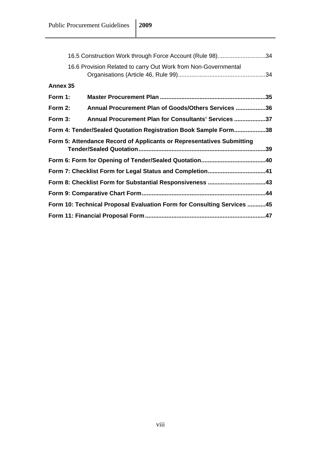|                                                          | 16.5 Construction Work through Force Account (Rule 98)34               |     |  |
|----------------------------------------------------------|------------------------------------------------------------------------|-----|--|
|                                                          | 16.6 Provision Related to carry Out Work from Non-Governmental         |     |  |
| Annex 35                                                 |                                                                        |     |  |
| Form 1:                                                  |                                                                        | .35 |  |
| Form 2:                                                  | Annual Procurement Plan of Goods/Others Services 36                    |     |  |
| Form 3:                                                  | Annual Procurement Plan for Consultants' Services 37                   |     |  |
|                                                          | Form 4: Tender/Sealed Quotation Registration Book Sample Form38        |     |  |
|                                                          | Form 5: Attendance Record of Applicants or Representatives Submitting  | .39 |  |
|                                                          |                                                                        |     |  |
| Form 7: Checklist Form for Legal Status and Completion41 |                                                                        |     |  |
| Form 8: Checklist Form for Substantial Responsiveness 43 |                                                                        |     |  |
|                                                          |                                                                        |     |  |
|                                                          | Form 10: Technical Proposal Evaluation Form for Consulting Services 45 |     |  |
|                                                          |                                                                        |     |  |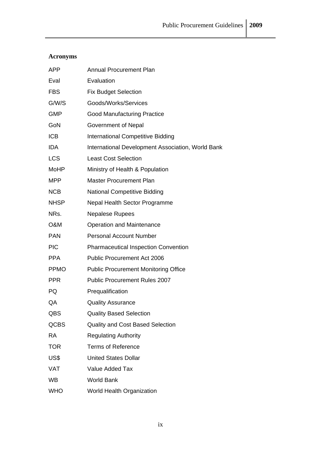# **Acronyms**

| APP            | <b>Annual Procurement Plan</b>                    |
|----------------|---------------------------------------------------|
| Eval           | Evaluation                                        |
| <b>FBS</b>     | <b>Fix Budget Selection</b>                       |
| G/W/S          | Goods/Works/Services                              |
| <b>GMP</b>     | <b>Good Manufacturing Practice</b>                |
| GoN            | Government of Nepal                               |
| <b>ICB</b>     | <b>International Competitive Bidding</b>          |
| <b>IDA</b>     | International Development Association, World Bank |
| <b>LCS</b>     | <b>Least Cost Selection</b>                       |
| <b>MoHP</b>    | Ministry of Health & Population                   |
| <b>MPP</b>     | <b>Master Procurement Plan</b>                    |
| <b>NCB</b>     | <b>National Competitive Bidding</b>               |
| <b>NHSP</b>    | Nepal Health Sector Programme                     |
| NRs.           | <b>Nepalese Rupees</b>                            |
| <b>O&amp;M</b> | <b>Operation and Maintenance</b>                  |
| <b>PAN</b>     | <b>Personal Account Number</b>                    |
| <b>PIC</b>     | <b>Pharmaceutical Inspection Convention</b>       |
| <b>PPA</b>     | <b>Public Procurement Act 2006</b>                |
| <b>PPMO</b>    | <b>Public Procurement Monitoring Office</b>       |
| <b>PPR</b>     | <b>Public Procurement Rules 2007</b>              |
| PQ             | Prequalification                                  |
| QA             | <b>Quality Assurance</b>                          |
| QBS            | <b>Quality Based Selection</b>                    |
| <b>QCBS</b>    | <b>Quality and Cost Based Selection</b>           |
| <b>RA</b>      | <b>Regulating Authority</b>                       |
| <b>TOR</b>     | <b>Terms of Reference</b>                         |
| US\$           | <b>United States Dollar</b>                       |
| VAT            | Value Added Tax                                   |
| WB             | <b>World Bank</b>                                 |
| <b>WHO</b>     | World Health Organization                         |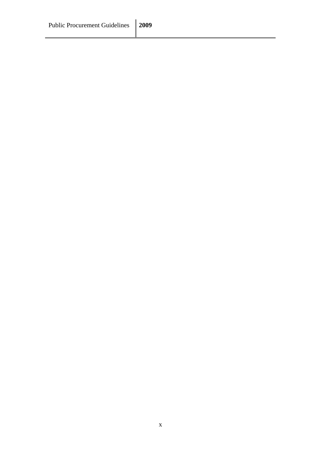| <b>Public Procurement Guidelines</b> | $\vert 2009$ |
|--------------------------------------|--------------|
|--------------------------------------|--------------|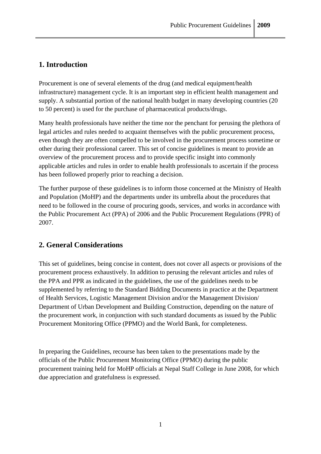# **1. Introduction**

Procurement is one of several elements of the drug (and medical equipment/health infrastructure) management cycle. It is an important step in efficient health management and supply. A substantial portion of the national health budget in many developing countries (20 to 50 percent) is used for the purchase of pharmaceutical products/drugs.

Many health professionals have neither the time nor the penchant for perusing the plethora of legal articles and rules needed to acquaint themselves with the public procurement process, even though they are often compelled to be involved in the procurement process sometime or other during their professional career. This set of concise guidelines is meant to provide an overview of the procurement process and to provide specific insight into commonly applicable articles and rules in order to enable health professionals to ascertain if the process has been followed properly prior to reaching a decision.

The further purpose of these guidelines is to inform those concerned at the Ministry of Health and Population (MoHP) and the departments under its umbrella about the procedures that need to be followed in the course of procuring goods, services, and works in accordance with the Public Procurement Act (PPA) of 2006 and the Public Procurement Regulations (PPR) of 2007.

#### **2. General Considerations**

This set of guidelines, being concise in content, does not cover all aspects or provisions of the procurement process exhaustively. In addition to perusing the relevant articles and rules of the PPA and PPR as indicated in the guidelines, the use of the guidelines needs to be supplemented by referring to the Standard Bidding Documents in practice at the Department of Health Services, Logistic Management Division and/or the Management Division/ Department of Urban Development and Building Construction, depending on the nature of the procurement work, in conjunction with such standard documents as issued by the Public Procurement Monitoring Office (PPMO) and the World Bank, for completeness.

In preparing the Guidelines, recourse has been taken to the presentations made by the officials of the Public Procurement Monitoring Office (PPMO) during the public procurement training held for MoHP officials at Nepal Staff College in June 2008, for which due appreciation and gratefulness is expressed.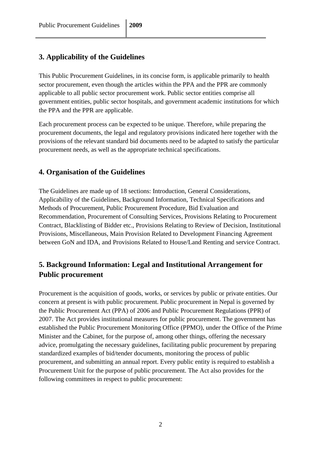#### **3. Applicability of the Guidelines**

This Public Procurement Guidelines, in its concise form, is applicable primarily to health sector procurement, even though the articles within the PPA and the PPR are commonly applicable to all public sector procurement work. Public sector entities comprise all government entities, public sector hospitals, and government academic institutions for which the PPA and the PPR are applicable.

Each procurement process can be expected to be unique. Therefore, while preparing the procurement documents, the legal and regulatory provisions indicated here together with the provisions of the relevant standard bid documents need to be adapted to satisfy the particular procurement needs, as well as the appropriate technical specifications.

#### **4. Organisation of the Guidelines**

The Guidelines are made up of 18 sections: Introduction, General Considerations, Applicability of the Guidelines, Background Information, Technical Specifications and Methods of Procurement, Public Procurement Procedure, Bid Evaluation and Recommendation, Procurement of Consulting Services, Provisions Relating to Procurement Contract, Blacklisting of Bidder etc., Provisions Relating to Review of Decision, Institutional Provisions, Miscellaneous, Main Provision Related to Development Financing Agreement between GoN and IDA, and Provisions Related to House/Land Renting and service Contract.

# **5. Background Information: Legal and Institutional Arrangement for Public procurement**

Procurement is the acquisition of goods, works, or services by public or private entities. Our concern at present is with public procurement. Public procurement in Nepal is governed by the Public Procurement Act (PPA) of 2006 and Public Procurement Regulations (PPR) of 2007. The Act provides institutional measures for public procurement. The government has established the Public Procurement Monitoring Office (PPMO), under the Office of the Prime Minister and the Cabinet, for the purpose of, among other things, offering the necessary advice, promulgating the necessary guidelines, facilitating public procurement by preparing standardized examples of bid/tender documents, monitoring the process of public procurement, and submitting an annual report. Every public entity is required to establish a Procurement Unit for the purpose of public procurement. The Act also provides for the following committees in respect to public procurement: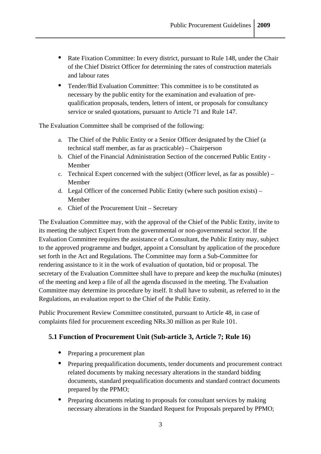- Rate Fixation Committee: In every district, pursuant to Rule 148, under the Chair of the Chief District Officer for determining the rates of construction materials and labour rates
- Tender/Bid Evaluation Committee: This committee is to be constituted as necessary by the public entity for the examination and evaluation of prequalification proposals, tenders, letters of intent, or proposals for consultancy service or sealed quotations, pursuant to Article 71 and Rule 147.

The Evaluation Committee shall be comprised of the following:

- a. The Chief of the Public Entity or a Senior Officer designated by the Chief (a technical staff member, as far as practicable) – Chairperson
- b. Chief of the Financial Administration Section of the concerned Public Entity Member
- c. Technical Expert concerned with the subject (Officer level, as far as possible) Member
- d. Legal Officer of the concerned Public Entity (where such position exists) Member
- e. Chief of the Procurement Unit Secretary

The Evaluation Committee may, with the approval of the Chief of the Public Entity, invite to its meeting the subject Expert from the governmental or non-governmental sector. If the Evaluation Committee requires the assistance of a Consultant, the Public Entity may, subject to the approved programme and budget, appoint a Consultant by application of the procedure set forth in the Act and Regulations. The Committee may form a Sub-Committee for rendering assistance to it in the work of evaluation of quotation, bid or proposal. The secretary of the Evaluation Committee shall have to prepare and keep the *muchulka* (minutes) of the meeting and keep a file of all the agenda discussed in the meeting. The Evaluation Committee may determine its procedure by itself. It shall have to submit, as referred to in the Regulations, an evaluation report to the Chief of the Public Entity.

Public Procurement Review Committee constituted, pursuant to Article 48, in case of complaints filed for procurement exceeding NRs.30 million as per Rule 101.

#### **5.1 Function of Procurement Unit (Sub-article 3, Article 7; Rule 16)**

- Preparing a procurement plan
- Preparing prequalification documents, tender documents and procurement contract related documents by making necessary alterations in the standard bidding documents, standard prequalification documents and standard contract documents prepared by the PPMO;
- Preparing documents relating to proposals for consultant services by making necessary alterations in the Standard Request for Proposals prepared by PPMO;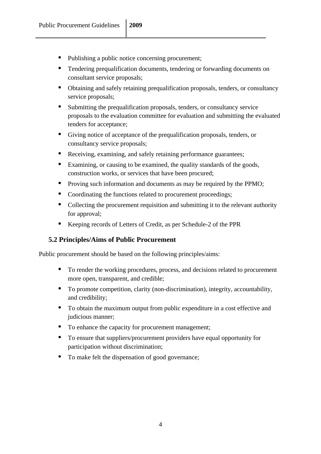- Publishing a public notice concerning procurement;
- Tendering prequalification documents, tendering or forwarding documents on consultant service proposals;
- Obtaining and safely retaining prequalification proposals, tenders, or consultancy service proposals;
- Submitting the prequalification proposals, tenders, or consultancy service proposals to the evaluation committee for evaluation and submitting the evaluated tenders for acceptance;
- Giving notice of acceptance of the prequalification proposals, tenders, or consultancy service proposals;
- Receiving, examining, and safely retaining performance guarantees;
- Examining, or causing to be examined, the quality standards of the goods, construction works, or services that have been procured;
- Proving such information and documents as may be required by the PPMO;
- Coordinating the functions related to procurement proceedings;
- Collecting the procurement requisition and submitting it to the relevant authority for approval;
- Keeping records of Letters of Credit, as per Schedule-2 of the PPR

#### **5.2 Principles/Aims of Public Procurement**

Public procurement should be based on the following principles/aims:

- To render the working procedures, process, and decisions related to procurement more open, transparent, and credible;
- To promote competition, clarity (non-discrimination), integrity, accountability, and credibility;
- To obtain the maximum output from public expenditure in a cost effective and judicious manner;
- To enhance the capacity for procurement management;
- To ensure that suppliers/procurement providers have equal opportunity for participation without discrimination;
- To make felt the dispensation of good governance;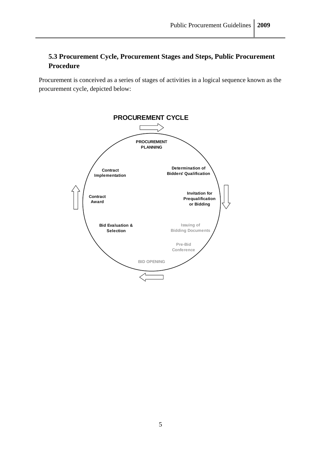### **5.3 Procurement Cycle, Procurement Stages and Steps, Public Procurement Procedure**

Procurement is conceived as a series of stages of activities in a logical sequence known as the procurement cycle, depicted below:

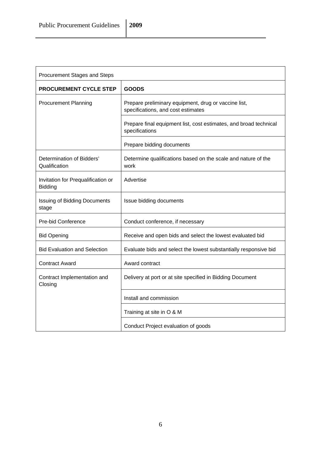| Procurement Stages and Steps                         |                                                                                            |  |  |
|------------------------------------------------------|--------------------------------------------------------------------------------------------|--|--|
| <b>PROCUREMENT CYCLE STEP</b>                        | <b>GOODS</b>                                                                               |  |  |
| <b>Procurement Planning</b>                          | Prepare preliminary equipment, drug or vaccine list,<br>specifications, and cost estimates |  |  |
|                                                      | Prepare final equipment list, cost estimates, and broad technical<br>specifications        |  |  |
|                                                      | Prepare bidding documents                                                                  |  |  |
| <b>Determination of Bidders'</b><br>Qualification    | Determine qualifications based on the scale and nature of the<br>work                      |  |  |
| Invitation for Prequalification or<br><b>Bidding</b> | Advertise                                                                                  |  |  |
| <b>Issuing of Bidding Documents</b><br>stage         | Issue bidding documents                                                                    |  |  |
| <b>Pre-bid Conference</b>                            | Conduct conference, if necessary                                                           |  |  |
| <b>Bid Opening</b>                                   | Receive and open bids and select the lowest evaluated bid                                  |  |  |
| <b>Bid Evaluation and Selection</b>                  | Evaluate bids and select the lowest substantially responsive bid                           |  |  |
| <b>Contract Award</b>                                | Award contract                                                                             |  |  |
| Contract Implementation and<br>Closing               | Delivery at port or at site specified in Bidding Document                                  |  |  |
|                                                      | Install and commission                                                                     |  |  |
|                                                      | Training at site in O & M                                                                  |  |  |
|                                                      | Conduct Project evaluation of goods                                                        |  |  |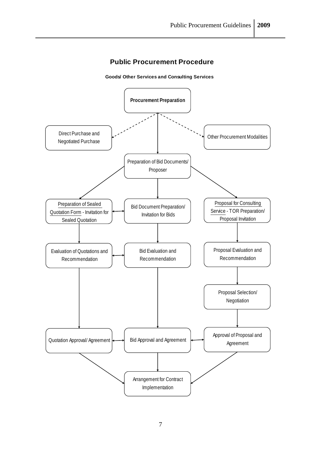# **Public Procurement Procedure**

**Goods/ Other Services and Consulting Services**

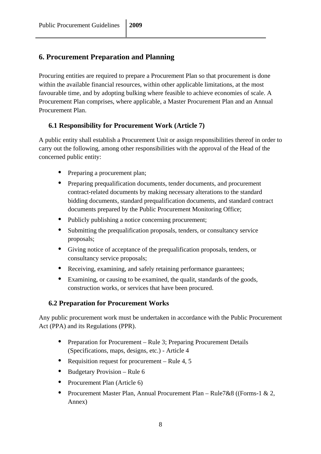#### **6. Procurement Preparation and Planning**

Procuring entities are required to prepare a Procurement Plan so that procurement is done within the available financial resources, within other applicable limitations, at the most favourable time, and by adopting bulking where feasible to achieve economies of scale. A Procurement Plan comprises, where applicable, a Master Procurement Plan and an Annual Procurement Plan.

#### **6.1 Responsibility for Procurement Work (Article 7)**

A public entity shall establish a Procurement Unit or assign responsibilities thereof in order to carry out the following, among other responsibilities with the approval of the Head of the concerned public entity:

- Preparing a procurement plan;
- Preparing prequalification documents, tender documents, and procurement contract-related documents by making necessary alterations to the standard bidding documents, standard prequalification documents, and standard contract documents prepared by the Public Procurement Monitoring Office;
- Publicly publishing a notice concerning procurement;
- Submitting the prequalification proposals, tenders, or consultancy service proposals;
- Giving notice of acceptance of the prequalification proposals, tenders, or consultancy service proposals;
- Receiving, examining, and safely retaining performance guarantees;
- Examining, or causing to be examined, the qualit, standards of the goods, construction works, or services that have been procured.

#### **6.2 Preparation for Procurement Works**

Any public procurement work must be undertaken in accordance with the Public Procurement Act (PPA) and its Regulations (PPR).

- Preparation for Procurement Rule 3; Preparing Procurement Details (Specifications, maps, designs, etc.) - Article 4
- Requisition request for procurement Rule 4, 5
- Budgetary Provision Rule 6
- Procurement Plan (Article 6)
- Procurement Master Plan, Annual Procurement Plan Rule7&8 ((Forms-1 & 2, Annex)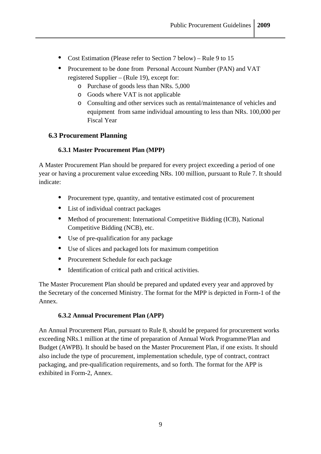- Cost Estimation (Please refer to Section 7 below) Rule 9 to 15
- Procurement to be done from Personal Account Number (PAN) and VAT registered Supplier – (Rule 19), except for:
	- o Purchase of goods less than NRs. 5,000
	- o Goods where VAT is not applicable
	- o Consulting and other services such as rental/maintenance of vehicles and equipment from same individual amounting to less than NRs. 100,000 per Fiscal Year

#### **6.3 Procurement Planning**

#### **6.3.1 Master Procurement Plan (MPP)**

A Master Procurement Plan should be prepared for every project exceeding a period of one year or having a procurement value exceeding NRs. 100 million, pursuant to Rule 7. It should indicate:

- Procurement type, quantity, and tentative estimated cost of procurement
- List of individual contract packages
- Method of procurement: International Competitive Bidding (ICB), National Competitive Bidding (NCB), etc.
- Use of pre-qualification for any package
- Use of slices and packaged lots for maximum competition
- Procurement Schedule for each package
- Identification of critical path and critical activities.

The Master Procurement Plan should be prepared and updated every year and approved by the Secretary of the concerned Ministry. The format for the MPP is depicted in Form-1 of the Annex.

#### **6.3.2 Annual Procurement Plan (APP)**

An Annual Procurement Plan, pursuant to Rule 8, should be prepared for procurement works exceeding NRs.1 million at the time of preparation of Annual Work Programme/Plan and Budget (AWPB). It should be based on the Master Procurement Plan, if one exists. It should also include the type of procurement, implementation schedule, type of contract, contract packaging, and pre-qualification requirements, and so forth. The format for the APP is exhibited in Form-2, Annex.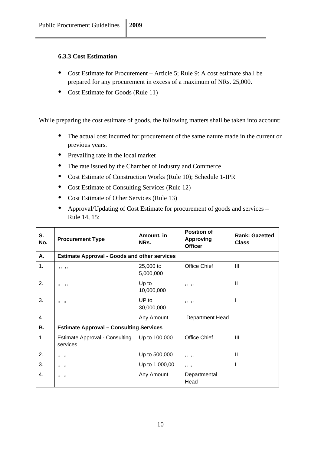#### **6.3.3 Cost Estimation**

- Cost Estimate for Procurement Article 5; Rule 9: A cost estimate shall be prepared for any procurement in excess of a maximum of NRs. 25,000.
- Cost Estimate for Goods (Rule 11)

While preparing the cost estimate of goods, the following matters shall be taken into account:

- The actual cost incurred for procurement of the same nature made in the current or previous years.
- Prevailing rate in the local market
- The rate issued by the Chamber of Industry and Commerce
- Cost Estimate of Construction Works (Rule 10); Schedule 1-IPR
- Cost Estimate of Consulting Services (Rule 12)
- Cost Estimate of Other Services (Rule 13)
- Approval/Updating of Cost Estimate for procurement of goods and services Rule 14, 15:

| S.<br>No. | <b>Procurement Type</b>                             | Amount, in<br>NRs.     | <b>Position of</b><br><b>Approving</b><br><b>Officer</b> | <b>Rank: Gazetted</b><br><b>Class</b> |
|-----------|-----------------------------------------------------|------------------------|----------------------------------------------------------|---------------------------------------|
| А.        | <b>Estimate Approval - Goods and other services</b> |                        |                                                          |                                       |
| 1.        | , 1, 1, 1                                           | 25,000 to<br>5,000,000 | <b>Office Chief</b>                                      | $\mathbf{III}$                        |
| 2.        | , ,<br>, ,                                          | Up to<br>10,000,000    | , 1, 1, 1                                                | $\mathbf{I}$                          |
| 3.        | , 1, 1, 1                                           | UP to<br>30,000,000    | , 1, 1, 1                                                |                                       |
| 4.        |                                                     | Any Amount             | Department Head                                          |                                       |
| В.        | <b>Estimate Approval - Consulting Services</b>      |                        |                                                          |                                       |
| 1.        | <b>Estimate Approval - Consulting</b><br>services   | Up to 100,000          | <b>Office Chief</b>                                      | Ш                                     |
| 2.        | , , ,                                               | Up to 500,000          | , 1, 1, 1                                                | $\mathbf{I}$                          |
| 3.        | , 1, 1, 1                                           | Up to 1,000,00         | , , , ,                                                  |                                       |
| 4.        | , 1, 1, 1                                           | Any Amount             | Departmental<br>Head                                     |                                       |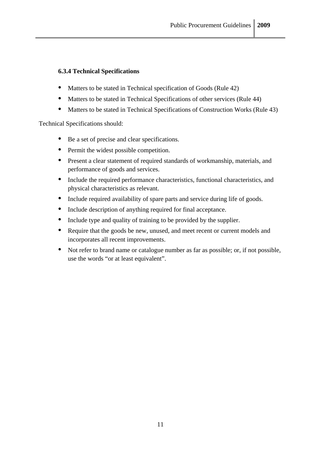#### **6.3.4 Technical Specifications**

- Matters to be stated in Technical specification of Goods (Rule 42)
- Matters to be stated in Technical Specifications of other services (Rule 44)
- Matters to be stated in Technical Specifications of Construction Works (Rule 43)

Technical Specifications should:

- Be a set of precise and clear specifications.
- Permit the widest possible competition.
- Present a clear statement of required standards of workmanship, materials, and performance of goods and services.
- Include the required performance characteristics, functional characteristics, and physical characteristics as relevant.
- Include required availability of spare parts and service during life of goods.
- Include description of anything required for final acceptance.
- Include type and quality of training to be provided by the supplier.
- Require that the goods be new, unused, and meet recent or current models and incorporates all recent improvements.
- Not refer to brand name or catalogue number as far as possible; or, if not possible, use the words "or at least equivalent".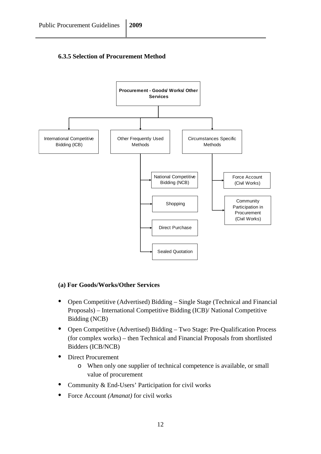#### **6.3.5 Selection of Procurement Method**



#### **(a) For Goods/Works/Other Services**

- Open Competitive (Advertised) Bidding Single Stage (Technical and Financial Proposals) – International Competitive Bidding (ICB)/ National Competitive Bidding (NCB)
- Open Competitive (Advertised) Bidding Two Stage: Pre-Qualification Process (for complex works) – then Technical and Financial Proposals from shortlisted Bidders (ICB/NCB)
- Direct Procurement
	- o When only one supplier of technical competence is available, or small value of procurement
- Community & End-Users' Participation for civil works
- Force Account *(Amanat)* for civil works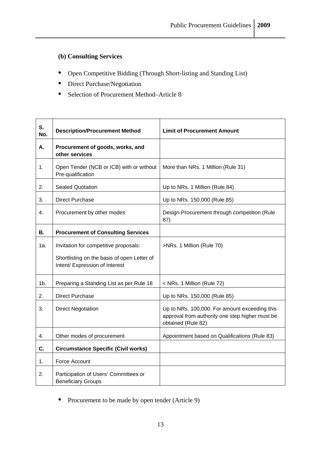#### **(b) Consulting Services**

- Open Competitive Bidding (Through Short-listing and Standing List)
- Direct Purchase/Negotiation
- Selection of Procurement Method–Article 8

| S.<br>No. | <b>Description/Procurement Method</b>                                         | <b>Limit of Procurement Amount</b>                                                                                     |
|-----------|-------------------------------------------------------------------------------|------------------------------------------------------------------------------------------------------------------------|
| А.        | Procurement of goods, works, and<br>other services                            |                                                                                                                        |
| 1.        | Open Tender (NCB or ICB) with or without<br>Pre-qualification                 | More than NRs. 1 Million (Rule 31)                                                                                     |
| 2.        | <b>Sealed Quotation</b>                                                       | Up to NRs. 1 Million (Rule 84)                                                                                         |
| 3.        | <b>Direct Purchase</b>                                                        | Up to NRs. 150,000 (Rule 85)                                                                                           |
| 4.        | Procurement by other modes                                                    | Design Procurement through competition (Rule<br>87)                                                                    |
| В.        | <b>Procurement of Consulting Services</b>                                     |                                                                                                                        |
| 1a.       | Invitation for competitive proposals:                                         | >NRs. 1 Million (Rule 70)                                                                                              |
|           | Shortlisting on the basis of open Letter of<br>Intent/ Expression of Interest |                                                                                                                        |
| $1b$ .    | Preparing a Standing List as per Rule 18                                      | < NRs. 1 Million (Rule 72)                                                                                             |
| 2.        | <b>Direct Purchase</b>                                                        | Up to NRs. 150,000 (Rule 85)                                                                                           |
| 3.        | <b>Direct Negotiation</b>                                                     | Up to NRs. 100,000. For amount exceeding this<br>approval from authority one step higher must be<br>obtained (Rule 82) |
| 4.        | Other modes of procurement                                                    | Appointment based on Qualifications (Rule 83)                                                                          |
| C.        | <b>Circumstance Specific (Civil works)</b>                                    |                                                                                                                        |
| 1.        | Force Account                                                                 |                                                                                                                        |
| 2.        | Participation of Users' Committees or<br><b>Beneficiary Groups</b>            |                                                                                                                        |

• Procurement to be made by open tender (Article 9)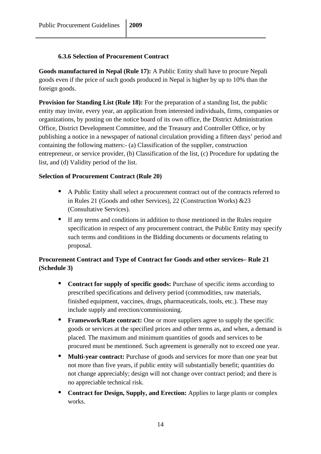#### **6.3.6 Selection of Procurement Contract**

**Goods manufactured in Nepal (Rule 17):** A Public Entity shall have to procure Nepali goods even if the price of such goods produced in Nepal is higher by up to 10% than the foreign goods.

**Provision for Standing List (Rule 18):** For the preparation of a standing list, the public entity may invite, every year, an application from interested individuals, firms, companies or organizations, by posting on the notice board of its own office, the District Administration Office, District Development Committee, and the Treasury and Controller Office, or by publishing a notice in a newspaper of national circulation providing a fifteen days' period and containing the following matters:- (a) Classification of the supplier, construction entrepreneur, or service provider, (b) Classification of the list, (c) Procedure for updating the list, and (d) Validity period of the list.

#### **Selection of Procurement Contract (Rule 20)**

- A Public Entity shall select a procurement contract out of the contracts referred to in Rules 21 (Goods and other Services), 22 (Construction Works) &23 (Consultative Services).
- If any terms and conditions in addition to those mentioned in the Rules require specification in respect of any procurement contract, the Public Entity may specify such terms and conditions in the Bidding documents or documents relating to proposal.

#### **Procurement Contract and Type of Contract for Goods and other services– Rule 21 (Schedule 3)**

- **Contract for supply of specific goods:** Purchase of specific items according to prescribed specifications and delivery period (commodities, raw materials, finished equipment, vaccines, drugs, pharmaceuticals, tools, etc.). These may include supply and erection/commissioning.
- **Framework/Rate contract:** One or more suppliers agree to supply the specific goods or services at the specified prices and other terms as, and when, a demand is placed. The maximum and minimum quantities of goods and services to be procured must be mentioned. Such agreement is generally not to exceed one year.
- **Multi-year contract:** Purchase of goods and services for more than one year but not more than five years, if public entity will substantially benefit; quantities do not change appreciably; design will not change over contract period; and there is no appreciable technical risk.
- **Contract for Design, Supply, and Erection:** Applies to large plants or complex works.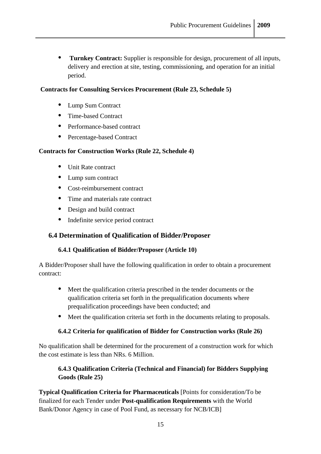• **Turnkey Contract:** Supplier is responsible for design, procurement of all inputs, delivery and erection at site, testing, commissioning, and operation for an initial period.

#### **Contracts for Consulting Services Procurement (Rule 23, Schedule 5)**

- Lump Sum Contract
- Time-based Contract
- Performance-based contract
- Percentage-based Contract

#### **Contracts for Construction Works (Rule 22, Schedule 4)**

- Unit Rate contract
- Lump sum contract
- Cost-reimbursement contract
- Time and materials rate contract
- Design and build contract
- Indefinite service period contract

#### **6.4 Determination of Qualification of Bidder/Proposer**

#### **6.4.1 Qualification of Bidder/Proposer (Article 10)**

A Bidder/Proposer shall have the following qualification in order to obtain a procurement contract:

- Meet the qualification criteria prescribed in the tender documents or the qualification criteria set forth in the prequalification documents where prequalification proceedings have been conducted; and
- Meet the qualification criteria set forth in the documents relating to proposals.

#### **6.4.2 Criteria for qualification of Bidder for Construction works (Rule 26)**

No qualification shall be determined for the procurement of a construction work for which the cost estimate is less than NRs. 6 Million.

#### **6.4.3 Qualification Criteria (Technical and Financial) for Bidders Supplying Goods (Rule 25)**

**Typical Qualification Criteria for Pharmaceuticals** [Points for consideration/To be finalized for each Tender under **Post-qualification Requirements** with the World Bank/Donor Agency in case of Pool Fund, as necessary for NCB/ICB]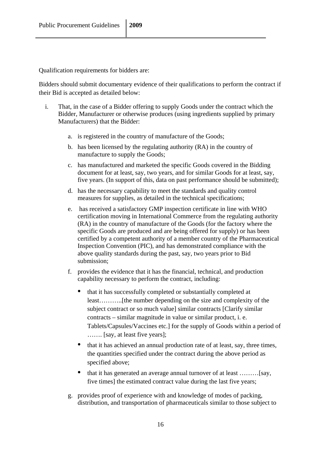Qualification requirements for bidders are:

Bidders should submit documentary evidence of their qualifications to perform the contract if their Bid is accepted as detailed below:

- i. That, in the case of a Bidder offering to supply Goods under the contract which the Bidder, Manufacturer or otherwise produces (using ingredients supplied by primary Manufacturers) that the Bidder:
	- a. is registered in the country of manufacture of the Goods;
	- b. has been licensed by the regulating authority (RA) in the country of manufacture to supply the Goods;
	- c. has manufactured and marketed the specific Goods covered in the Bidding document for at least, say, two years, and for similar Goods for at least, say, five years. (In support of this, data on past performance should be submitted);
	- d. has the necessary capability to meet the standards and quality control measures for supplies, as detailed in the technical specifications;
	- e. has received a satisfactory GMP inspection certificate in line with WHO certification moving in International Commerce from the regulating authority (RA) in the country of manufacture of the Goods (for the factory where the specific Goods are produced and are being offered for supply) or has been certified by a competent authority of a member country of the Pharmaceutical Inspection Convention (PIC), and has demonstrated compliance with the above quality standards during the past, say, two years prior to Bid submission;
	- f. provides the evidence that it has the financial, technical, and production capability necessary to perform the contract, including:
		- that it has successfully completed or substantially completed at least………..[the number depending on the size and complexity of the subject contract or so much value] similar contracts [Clarify similar contracts – similar magnitude in value or similar product, i. e. Tablets/Capsules/Vaccines etc.] for the supply of Goods within a period of ……. [say, at least five years];
		- that it has achieved an annual production rate of at least, say, three times, the quantities specified under the contract during the above period as specified above;
		- that it has generated an average annual turnover of at least ………[say, five times] the estimated contract value during the last five years;
	- g. provides proof of experience with and knowledge of modes of packing, distribution, and transportation of pharmaceuticals similar to those subject to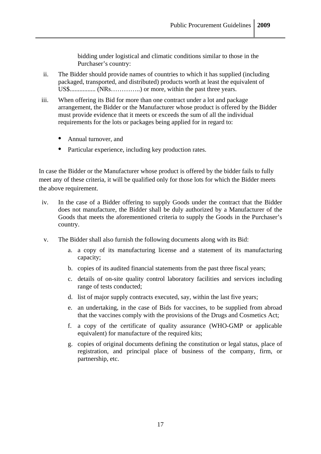bidding under logistical and climatic conditions similar to those in the Purchaser's country:

- ii. The Bidder should provide names of countries to which it has supplied (including packaged, transported, and distributed) products worth at least the equivalent of US\$................. (NRs…………....) or more, within the past three years.
- iii. When offering its Bid for more than one contract under a lot and package arrangement, the Bidder or the Manufacturer whose product is offered by the Bidder must provide evidence that it meets or exceeds the sum of all the individual requirements for the lots or packages being applied for in regard to:
	- Annual turnover, and
	- Particular experience, including key production rates.

In case the Bidder or the Manufacturer whose product is offered by the bidder fails to fully meet any of these criteria, it will be qualified only for those lots for which the Bidder meets the above requirement.

- iv. In the case of a Bidder offering to supply Goods under the contract that the Bidder does not manufacture, the Bidder shall be duly authorized by a Manufacturer of the Goods that meets the aforementioned criteria to supply the Goods in the Purchaser's country.
- v. The Bidder shall also furnish the following documents along with its Bid:
	- a. a copy of its manufacturing license and a statement of its manufacturing capacity;
	- b. copies of its audited financial statements from the past three fiscal years;
	- c. details of on-site quality control laboratory facilities and services including range of tests conducted;
	- d. list of major supply contracts executed, say, within the last five years;
	- e. an undertaking, in the case of Bids for vaccines, to be supplied from abroad that the vaccines comply with the provisions of the Drugs and Cosmetics Act;
	- f. a copy of the certificate of quality assurance (WHO-GMP or applicable equivalent) for manufacture of the required kits;
	- g. copies of original documents defining the constitution or legal status, place of registration, and principal place of business of the company, firm, or partnership, etc.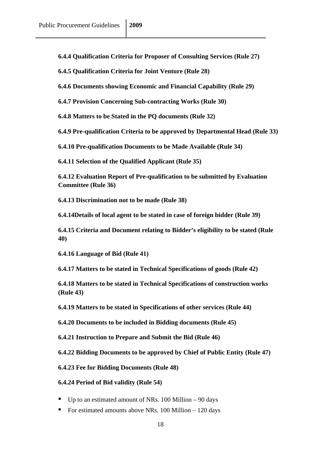**6.4.4 Qualification Criteria for Proposer of Consulting Services (Rule 27)** 

**6.4.5 Qualification Criteria for Joint Venture (Rule 28)** 

**6.4.6 Documents showing Economic and Financial Capability (Rule 29)** 

**6.4.7 Provision Concerning Sub-contracting Works (Rule 30)** 

**6.4.8 Matters to be Stated in the PQ documents (Rule 32)** 

**6.4.9 Pre-qualification Criteria to be approved by Departmental Head (Rule 33)** 

**6.4.10 Pre-qualification Documents to be Made Available (Rule 34)** 

**6.4.11 Selection of the Qualified Applicant (Rule 35)** 

**6.4.12 Evaluation Report of Pre-qualification to be submitted by Evaluation Committee (Rule 36)** 

**6.4.13 Discrimination not to be made (Rule 38)** 

**6.4.14Details of local agent to be stated in case of foreign bidder (Rule 39)** 

**6.4.15 Criteria and Document relating to Bidder's eligibility to be stated (Rule 40)** 

**6.4.16 Language of Bid (Rule 41)** 

**6.4.17 Matters to be stated in Technical Specifications of goods (Rule 42)** 

**6.4.18 Matters to be stated in Technical Specifications of construction works (Rule 43)** 

**6.4.19 Matters to be stated in Specifications of other services (Rule 44)** 

**6.4.20 Documents to be included in Bidding documents (Rule 45)** 

**6.4.21 Instruction to Prepare and Submit the Bid (Rule 46)** 

**6.4.22 Bidding Documents to be approved by Chief of Public Entity (Rule 47)** 

**6.4.23 Fee for Bidding Documents (Rule 48)** 

#### **6.4.24 Period of Bid validity (Rule 54)**

- Up to an estimated amount of NRs. 100 Million 90 days
- For estimated amounts above NRs. 100 Million 120 days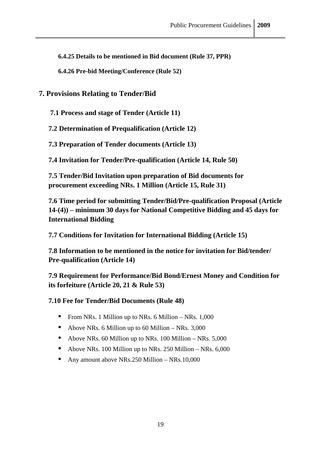**6.4.25 Details to be mentioned in Bid document (Rule 37, PPR)** 

**6.4.26 Pre-bid Meeting/Conference (Rule 52)** 

#### **7. Provisions Relating to Tender/Bid**

 **7.1 Process and stage of Tender (Article 11)** 

**7.2 Determination of Prequalification (Article 12)** 

**7.3 Preparation of Tender documents (Article 13)** 

**7.4 Invitation for Tender/Pre-qualification (Article 14, Rule 50)** 

**7.5 Tender/Bid Invitation upon preparation of Bid documents for procurement exceeding NRs. 1 Million (Article 15, Rule 31)** 

**7.6 Time period for submitting Tender/Bid/Pre-qualification Proposal (Article 14-(4)) – minimum 30 days for National Competitive Bidding and 45 days for International Bidding** 

**7.7 Conditions for Invitation for International Bidding (Article 15)** 

**7.8 Information to be mentioned in the notice for invitation for Bid/tender/ Pre-qualification (Article 14)** 

**7.9 Requirement for Performance/Bid Bond/Ernest Money and Condition for its forfeiture (Article 20, 21 & Rule 53)** 

**7.10 Fee for Tender/Bid Documents (Rule 48)** 

- From NRs. 1 Million up to NRs. 6 Million NRs. 1,000
- Above NRs. 6 Million up to 60 Million NRs. 3,000
- Above NRs. 60 Million up to NRs. 100 Million NRs. 5,000
- Above NRs. 100 Million up to NRs. 250 Million NRs. 6,000
- Any amount above NRs.250 Million NRs.10,000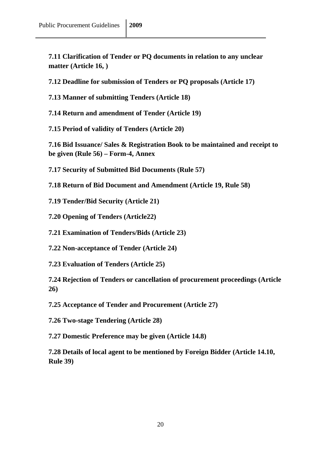**7.11 Clarification of Tender or PQ documents in relation to any unclear matter (Article 16, )** 

**7.12 Deadline for submission of Tenders or PQ proposals (Article 17)** 

**7.13 Manner of submitting Tenders (Article 18)** 

**7.14 Return and amendment of Tender (Article 19)** 

**7.15 Period of validity of Tenders (Article 20)** 

**7.16 Bid Issuance/ Sales & Registration Book to be maintained and receipt to be given (Rule 56) – Form-4, Annex** 

**7.17 Security of Submitted Bid Documents (Rule 57)** 

**7.18 Return of Bid Document and Amendment (Article 19, Rule 58)** 

**7.19 Tender/Bid Security (Article 21)** 

**7.20 Opening of Tenders (Article22)** 

**7.21 Examination of Tenders/Bids (Article 23)** 

**7.22 Non-acceptance of Tender (Article 24)** 

**7.23 Evaluation of Tenders (Article 25)** 

**7.24 Rejection of Tenders or cancellation of procurement proceedings (Article 26)** 

**7.25 Acceptance of Tender and Procurement (Article 27)** 

**7.26 Two-stage Tendering (Article 28)** 

**7.27 Domestic Preference may be given (Article 14.8)** 

**7.28 Details of local agent to be mentioned by Foreign Bidder (Article 14.10, Rule 39)**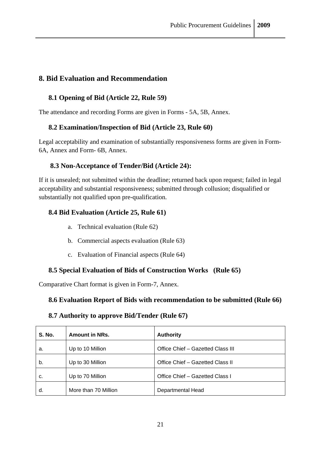### **8. Bid Evaluation and Recommendation**

#### **8.1 Opening of Bid (Article 22, Rule 59)**

The attendance and recording Forms are given in Forms - 5A, 5B, Annex.

#### **8.2 Examination/Inspection of Bid (Article 23, Rule 60)**

Legal acceptability and examination of substantially responsiveness forms are given in Form-6A, Annex and Form- 6B, Annex.

#### **8.3 Non-Acceptance of Tender/Bid (Article 24):**

If it is unsealed; not submitted within the deadline; returned back upon request; failed in legal acceptability and substantial responsiveness; submitted through collusion; disqualified or substantially not qualified upon pre-qualification.

#### **8.4 Bid Evaluation (Article 25, Rule 61)**

- a. Technical evaluation (Rule 62)
- b. Commercial aspects evaluation (Rule 63)
- c. Evaluation of Financial aspects (Rule 64)

#### **8.5 Special Evaluation of Bids of Construction Works (Rule 65)**

Comparative Chart format is given in Form-7, Annex.

#### **8.6 Evaluation Report of Bids with recommendation to be submitted (Rule 66)**

#### **8.7 Authority to approve Bid/Tender (Rule 67)**

| <b>S. No.</b> | <b>Amount in NRs.</b> | <b>Authority</b>                  |
|---------------|-----------------------|-----------------------------------|
| a.            | Up to 10 Million      | Office Chief – Gazetted Class III |
| b.            | Up to 30 Million      | Office Chief - Gazetted Class II  |
| c.            | Up to 70 Million      | Office Chief - Gazetted Class I   |
| d.            | More than 70 Million  | Departmental Head                 |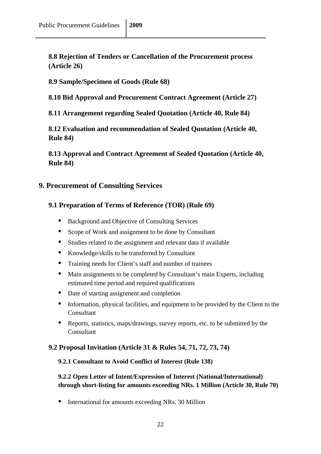**8.8 Rejection of Tenders or Cancellation of the Procurement process (Article 26)** 

**8.9 Sample/Specimen of Goods (Rule 68)** 

**8.10 Bid Approval and Procurement Contract Agreement (Article 27)** 

**8.11 Arrangement regarding Sealed Quotation (Article 40, Rule 84)** 

**8.12 Evaluation and recommendation of Sealed Quotation (Article 40, Rule 84)** 

**8.13 Approval and Contract Agreement of Sealed Quotation (Article 40, Rule 84)** 

#### **9. Procurement of Consulting Services**

#### **9.1 Preparation of Terms of Reference (TOR) (Rule 69)**

- Background and Objective of Consulting Services
- Scope of Work and assignment to be done by Consultant
- Studies related to the assignment and relevant data if available
- Knowledge/skills to be transferred by Consultant
- Training needs for Client's staff and number of trainees
- Main assignments to be completed by Consultant's main Experts, including estimated time period and required qualifications
- Date of starting assignment and completion
- Information, physical facilities, and equipment to be provided by the Client to the Consultant
- Reports, statistics, maps/drawings, survey reports, etc. to be submitted by the Consultant

#### **9.2 Proposal Invitation (Article 31 & Rules 54, 71, 72, 73, 74)**

#### **9.2.1 Consultant to Avoid Conflict of Interest (Rule 138)**

#### **9.2.2 Open Letter of Intent/Expression of Interest (National/International) through short-listing for amounts exceeding NRs. 1 Million (Article 30, Rule 70)**

International for amounts exceeding NRs. 30 Million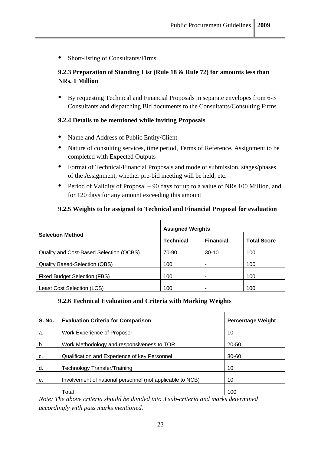• Short-listing of Consultants/Firms

#### **9.2.3 Preparation of Standing List (Rule 18 & Rule 72) for amounts less than NRs. 1 Million**

• By requesting Technical and Financial Proposals in separate envelopes from 6-3 Consultants and dispatching Bid documents to the Consultants/Consulting Firms

#### **9.2.4 Details to be mentioned while inviting Proposals**

- Name and Address of Public Entity/Client
- Nature of consulting services, time period, Terms of Reference, Assignment to be completed with Expected Outputs
- Format of Technical/Financial Proposals and mode of submission, stages/phases of the Assignment, whether pre-bid meeting will be held, etc.
- Period of Validity of Proposal 90 days for up to a value of NRs.100 Million, and for 120 days for any amount exceeding this amount

#### **9.2.5 Weights to be assigned to Technical and Financial Proposal for evaluation**

|                                         | <b>Assigned Weights</b> |                  |                    |  |  |  |  |  |
|-----------------------------------------|-------------------------|------------------|--------------------|--|--|--|--|--|
| <b>Selection Method</b>                 | <b>Technical</b>        | <b>Financial</b> | <b>Total Score</b> |  |  |  |  |  |
| Quality and Cost-Based Selection (QCBS) | 70-90                   | $30-10$          | 100                |  |  |  |  |  |
| <b>Quality Based-Selection (QBS)</b>    | 100                     |                  | 100                |  |  |  |  |  |
| <b>Fixed Budget Selection (FBS)</b>     | 100                     |                  | 100                |  |  |  |  |  |
| Least Cost Selection (LCS)              | 100                     |                  | 100                |  |  |  |  |  |

#### **9.2.6 Technical Evaluation and Criteria with Marking Weights**

| <b>S. No.</b> | <b>Evaluation Criteria for Comparison</b>                 | <b>Percentage Weight</b> |
|---------------|-----------------------------------------------------------|--------------------------|
| a.            | Work Experience of Proposer                               | 10                       |
| b.            | Work Methodology and responsiveness to TOR                | 20-50                    |
| c.            | Qualification and Experience of key Personnel             | $30 - 60$                |
| d.            | Technology Transfer/Training                              | 10                       |
| е.            | Involvement of national personnel (not applicable to NCB) | 10                       |
|               | Total                                                     | 100                      |

*Note: The above criteria should be divided into 3 sub-criteria and marks determined accordingly with pass marks mentioned.*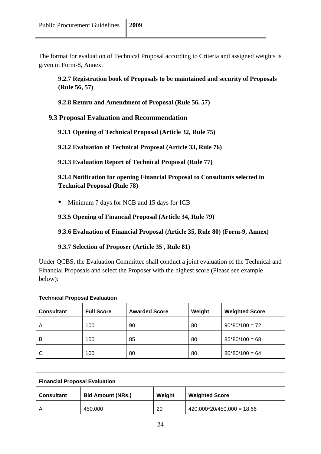The format for evaluation of Technical Proposal according to Criteria and assigned weights is given in Form-8, Annex.

**9.2.7 Registration book of Proposals to be maintained and security of Proposals (Rule 56, 57)** 

**9.2.8 Return and Amendment of Proposal (Rule 56, 57)** 

#### **9.3 Proposal Evaluation and Recommendation**

**9.3.1 Opening of Technical Proposal (Article 32, Rule 75)** 

**9.3.2 Evaluation of Technical Proposal (Article 33, Rule 76)** 

**9.3.3 Evaluation Report of Technical Proposal (Rule 77)** 

**9.3.4 Notification for opening Financial Proposal to Consultants selected in Technical Proposal (Rule 78)** 

• Minimum 7 days for NCB and 15 days for ICB

**9.3.5 Opening of Financial Proposal (Article 34, Rule 79)** 

**9.3.6 Evaluation of Financial Proposal (Article 35, Rule 80) (Form-9, Annex)** 

#### **9.3.7 Selection of Proposer (Article 35 , Rule 81)**

Under QCBS, the Evaluation Committee shall conduct a joint evaluation of the Technical and Financial Proposals and select the Proposer with the highest score (Please see example below):

| <b>Technical Proposal Evaluation</b> |                   |                      |        |                       |  |  |  |  |  |  |  |
|--------------------------------------|-------------------|----------------------|--------|-----------------------|--|--|--|--|--|--|--|
| <b>Consultant</b>                    | <b>Full Score</b> | <b>Awarded Score</b> | Weight | <b>Weighted Score</b> |  |  |  |  |  |  |  |
| A                                    | 100               | 90                   | 80     | $90*80/100 = 72$      |  |  |  |  |  |  |  |
| B                                    | 100               | 85                   | 80     | $85*80/100 = 68$      |  |  |  |  |  |  |  |
| C                                    | 100               | 80                   | 80     | $80*80/100 = 64$      |  |  |  |  |  |  |  |

| <b>Financial Proposal Evaluation</b> |                          |        |                              |  |  |  |  |  |  |  |
|--------------------------------------|--------------------------|--------|------------------------------|--|--|--|--|--|--|--|
| <b>Consultant</b>                    | <b>Bid Amount (NRs.)</b> | Weight | <b>Weighted Score</b>        |  |  |  |  |  |  |  |
|                                      | 450,000                  | 20     | $420,000*20/450,000 = 18.66$ |  |  |  |  |  |  |  |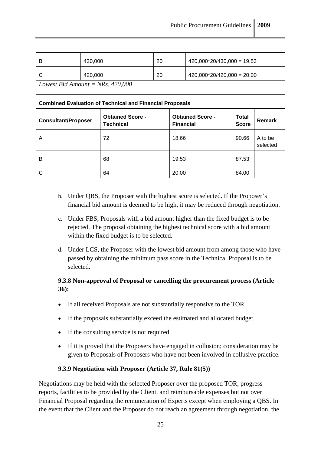| В | 430,000 | 20 | $420,000*20/430,000 = 19.53$ |
|---|---------|----|------------------------------|
|   | 420,000 | 20 | $420,000*20/420,000 = 20.00$ |

*Lowest Bid Amount = NRs. 420,000* 

| <b>Combined Evaluation of Technical and Financial Proposals</b> |                                             |                                             |                              |                     |  |  |  |  |  |  |  |  |  |
|-----------------------------------------------------------------|---------------------------------------------|---------------------------------------------|------------------------------|---------------------|--|--|--|--|--|--|--|--|--|
| <b>Consultant/Proposer</b>                                      | <b>Obtained Score -</b><br><b>Technical</b> | <b>Obtained Score -</b><br><b>Financial</b> | <b>Total</b><br><b>Score</b> | Remark              |  |  |  |  |  |  |  |  |  |
| A                                                               | 72                                          | 18.66                                       | 90.66                        | A to be<br>selected |  |  |  |  |  |  |  |  |  |
| В                                                               | 68                                          | 19.53                                       | 87.53                        |                     |  |  |  |  |  |  |  |  |  |
| С                                                               | 64                                          | 20.00                                       | 84.00                        |                     |  |  |  |  |  |  |  |  |  |

- b. Under QBS, the Proposer with the highest score is selected. If the Proposer's financial bid amount is deemed to be high, it may be reduced through negotiation.
- c. Under FBS, Proposals with a bid amount higher than the fixed budget is to be rejected. The proposal obtaining the highest technical score with a bid amount within the fixed budget is to be selected.
- d. Under LCS, the Proposer with the lowest bid amount from among those who have passed by obtaining the minimum pass score in the Technical Proposal is to be selected.

#### **9.3.8 Non-approval of Proposal or cancelling the procurement process (Article 36):**

- If all received Proposals are not substantially responsive to the TOR
- If the proposals substantially exceed the estimated and allocated budget
- If the consulting service is not required
- If it is proved that the Proposers have engaged in collusion; consideration may be given to Proposals of Proposers who have not been involved in collusive practice.

#### **9.3.9 Negotiation with Proposer (Article 37, Rule 81(5))**

Negotiations may be held with the selected Proposer over the proposed TOR, progress reports, facilities to be provided by the Client, and reimbursable expenses but not over Financial Proposal regarding the remuneration of Experts except when employing a QBS. In the event that the Client and the Proposer do not reach an agreement through negotiation, the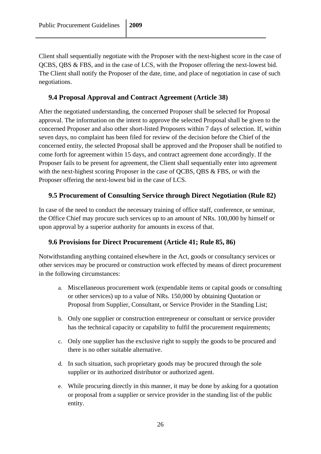Client shall sequentially negotiate with the Proposer with the next-highest score in the case of QCBS, QBS & FBS, and in the case of LCS, with the Proposer offering the next-lowest bid. The Client shall notify the Proposer of the date, time, and place of negotiation in case of such negotiations.

#### **9.4 Proposal Approval and Contract Agreement (Article 38)**

After the negotiated understanding, the concerned Proposer shall be selected for Proposal approval. The information on the intent to approve the selected Proposal shall be given to the concerned Proposer and also other short-listed Proposers within 7 days of selection. If, within seven days, no complaint has been filed for review of the decision before the Chief of the concerned entity, the selected Proposal shall be approved and the Proposer shall be notified to come forth for agreement within 15 days, and contract agreement done accordingly. If the Proposer fails to be present for agreement, the Client shall sequentially enter into agreement with the next-highest scoring Proposer in the case of QCBS, QBS & FBS, or with the Proposer offering the next-lowest bid in the case of LCS.

#### **9.5 Procurement of Consulting Service through Direct Negotiation (Rule 82)**

In case of the need to conduct the necessary training of office staff, conference, or seminar, the Office Chief may procure such services up to an amount of NRs. 100,000 by himself or upon approval by a superior authority for amounts in excess of that.

#### **9.6 Provisions for Direct Procurement (Article 41; Rule 85, 86)**

Notwithstanding anything contained elsewhere in the Act, goods or consultancy services or other services may be procured or construction work effected by means of direct procurement in the following circumstances:

- a. Miscellaneous procurement work (expendable items or capital goods or consulting or other services) up to a value of NRs. 150,000 by obtaining Quotation or Proposal from Supplier, Consultant, or Service Provider in the Standing List;
- b. Only one supplier or construction entrepreneur or consultant or service provider has the technical capacity or capability to fulfil the procurement requirements;
- c. Only one supplier has the exclusive right to supply the goods to be procured and there is no other suitable alternative.
- d. In such situation, such proprietary goods may be procured through the sole supplier or its authorized distributor or authorized agent.
- e. While procuring directly in this manner, it may be done by asking for a quotation or proposal from a supplier or service provider in the standing list of the public entity.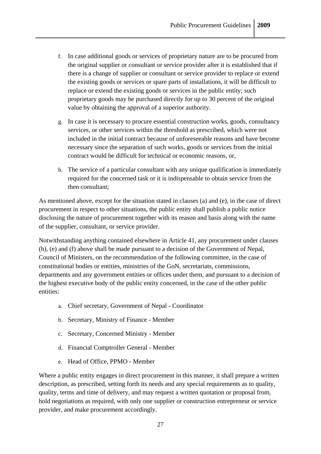- f. In case additional goods or services of proprietary nature are to be procured from the original supplier or consultant or service provider after it is established that if there is a change of supplier or consultant or service provider to replace or extend the existing goods or services or spare parts of installations, it will be difficult to replace or extend the existing goods or services in the public entity; such proprietary goods may be purchased directly for up to 30 percent of the original value by obtaining the approval of a superior authority.
- g. In case it is necessary to procure essential construction works, goods, consultancy services, or other services within the threshold as prescribed, which were not included in the initial contract because of unforeseeable reasons and have become necessary since the separation of such works, goods or services from the initial contract would be difficult for technical or economic reasons, or,
- h. The service of a particular consultant with any unique qualification is immediately required for the concerned task or it is indispensable to obtain service from the then consultant;

As mentioned above, except for the situation stated in clauses (a) and (e), in the case of direct procurement in respect to other situations, the public entity shall publish a public notice disclosing the nature of procurement together with its reason and basis along with the name of the supplier, consultant, or service provider.

Notwithstanding anything contained elsewhere in Article 41, any procurement under clauses (b), (e) and (f) above shall be made pursuant to a decision of the Government of Nepal, Council of Ministers, on the recommendation of the following committee, in the case of constitutional bodies or entities, ministries of the GoN, secretariats, commissions, departments and any government entities or offices under them, and pursuant to a decision of the highest executive body of the public entity concerned, in the case of the other public entities:

- a. Chief secretary, Government of Nepal Coordinator
- b. Secretary, Ministry of Finance Member
- c. Secretary, Concerned Ministry Member
- d. Financial Comptroller General Member
- e. Head of Office, PPMO Member

Where a public entity engages in direct procurement in this manner, it shall prepare a written description, as prescribed, setting forth its needs and any special requirements as to quality, quality, terms and time of delivery, and may request a written quotation or proposal from, hold negotiations as required, with only one supplier or construction entrepreneur or service provider, and make procurement accordingly.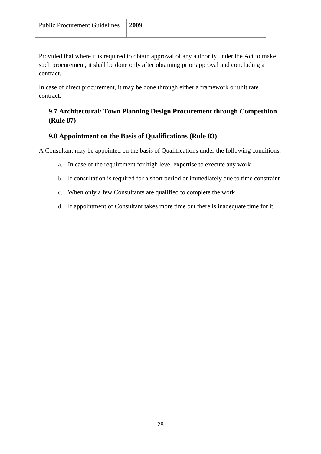Provided that where it is required to obtain approval of any authority under the Act to make such procurement, it shall be done only after obtaining prior approval and concluding a contract.

In case of direct procurement, it may be done through either a framework or unit rate contract.

#### **9.7 Architectural/ Town Planning Design Procurement through Competition (Rule 87)**

#### **9.8 Appointment on the Basis of Qualifications (Rule 83)**

A Consultant may be appointed on the basis of Qualifications under the following conditions:

- a. In case of the requirement for high level expertise to execute any work
- b. If consultation is required for a short period or immediately due to time constraint
- c. When only a few Consultants are qualified to complete the work
- d. If appointment of Consultant takes more time but there is inadequate time for it.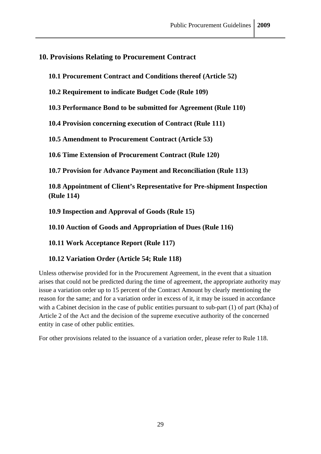#### **10. Provisions Relating to Procurement Contract**

**10.1 Procurement Contract and Conditions thereof (Article 52)** 

**10.2 Requirement to indicate Budget Code (Rule 109)** 

**10.3 Performance Bond to be submitted for Agreement (Rule 110)** 

**10.4 Provision concerning execution of Contract (Rule 111)** 

**10.5 Amendment to Procurement Contract (Article 53)** 

**10.6 Time Extension of Procurement Contract (Rule 120)** 

**10.7 Provision for Advance Payment and Reconciliation (Rule 113)** 

**10.8 Appointment of Client's Representative for Pre-shipment Inspection (Rule 114)** 

**10.9 Inspection and Approval of Goods (Rule 15)** 

**10.10 Auction of Goods and Appropriation of Dues (Rule 116)** 

**10.11 Work Acceptance Report (Rule 117)** 

**10.12 Variation Order (Article 54; Rule 118)** 

Unless otherwise provided for in the Procurement Agreement, in the event that a situation arises that could not be predicted during the time of agreement, the appropriate authority may issue a variation order up to 15 percent of the Contract Amount by clearly mentioning the reason for the same; and for a variation order in excess of it, it may be issued in accordance with a Cabinet decision in the case of public entities pursuant to sub-part (1) of part (Kha) of Article 2 of the Act and the decision of the supreme executive authority of the concerned entity in case of other public entities.

For other provisions related to the issuance of a variation order, please refer to Rule 118.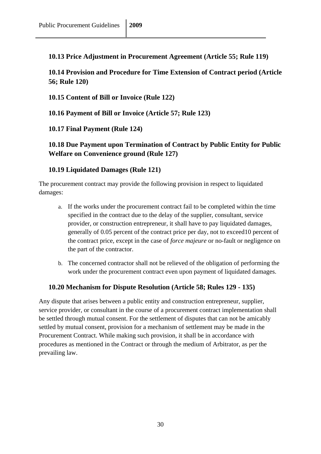**10.13 Price Adjustment in Procurement Agreement (Article 55; Rule 119)** 

**10.14 Provision and Procedure for Time Extension of Contract period (Article 56; Rule 120)** 

**10.15 Content of Bill or Invoice (Rule 122)** 

**10.16 Payment of Bill or Invoice (Article 57; Rule 123)** 

**10.17 Final Payment (Rule 124)** 

**10.18 Due Payment upon Termination of Contract by Public Entity for Public Welfare on Convenience ground (Rule 127)** 

#### **10.19 Liquidated Damages (Rule 121)**

The procurement contract may provide the following provision in respect to liquidated damages:

- a. If the works under the procurement contract fail to be completed within the time specified in the contract due to the delay of the supplier, consultant, service provider, or construction entrepreneur, it shall have to pay liquidated damages, generally of 0.05 percent of the contract price per day, not to exceed10 percent of the contract price, except in the case of *force majeure* or no-fault or negligence on the part of the contractor.
- b. The concerned contractor shall not be relieved of the obligation of performing the work under the procurement contract even upon payment of liquidated damages.

#### **10.20 Mechanism for Dispute Resolution (Article 58; Rules 129 - 135)**

Any dispute that arises between a public entity and construction entrepreneur, supplier, service provider, or consultant in the course of a procurement contract implementation shall be settled through mutual consent. For the settlement of disputes that can not be amicably settled by mutual consent, provision for a mechanism of settlement may be made in the Procurement Contract. While making such provision, it shall be in accordance with procedures as mentioned in the Contract or through the medium of Arbitrator, as per the prevailing law.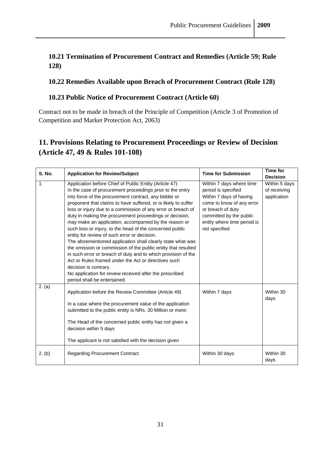#### **10.21 Termination of Procurement Contract and Remedies (Article 59; Rule 128)**

#### **10.22 Remedies Available upon Breach of Procurement Contract (Rule 128)**

#### **10.23 Public Notice of Procurement Contract (Article 60)**

Contract not to be made in breach of the Principle of Competition (Article 3 of Promotion of Competition and Market Protection Act, 2063)

# **11. Provisions Relating to Procurement Proceedings or Review of Decision (Article 47, 49 & Rules 101-108)**

| <b>S. No.</b> | <b>Application for Review/Subject</b>                                                                                          | <b>Time for Submission</b>                     | <b>Time for</b><br><b>Decision</b> |
|---------------|--------------------------------------------------------------------------------------------------------------------------------|------------------------------------------------|------------------------------------|
| 1.            | Application before Chief of Public Entity (Article 47)                                                                         | Within 7 days where time                       | Within 5 days                      |
|               | In the case of procurement proceedings prior to the entry                                                                      | period is specified                            | of receiving                       |
|               | into force of the procurement contract, any bidder or                                                                          | Within 7 days of having                        | application                        |
|               | proponent that claims to have suffered, or is likely to suffer<br>loss or injury due to a commission of any error or breach of | come to know of any error<br>or breach of duty |                                    |
|               | duty in making the procurement proceedings or decision,                                                                        | committed by the public                        |                                    |
|               | may make an application, accompanied by the reason or                                                                          | entity where time period is                    |                                    |
|               | such loss or injury, to the head of the concerned public                                                                       | not specified                                  |                                    |
|               | entity for review of such error or decision.                                                                                   |                                                |                                    |
|               | The aforementioned application shall clearly state what was                                                                    |                                                |                                    |
|               | the omission or commission of the public entity that resulted                                                                  |                                                |                                    |
|               | in such error or breach of duty and to which provision of the                                                                  |                                                |                                    |
|               | Act or Rules framed under the Act or directives such                                                                           |                                                |                                    |
|               | decision is contrary.<br>No application for review received after the prescribed                                               |                                                |                                    |
|               | period shall be entertained.                                                                                                   |                                                |                                    |
| 2. (a)        | Application before the Review Committee (Article 49)                                                                           | Within 7 days                                  | Within 30                          |
|               | In a case where the procurement value of the application<br>submitted to the public entity is NRs. 30 Million or more:         |                                                | days                               |
|               | The Head of the concerned public entity has not given a<br>decision within 5 days                                              |                                                |                                    |
|               | The applicant is not satisfied with the decision given                                                                         |                                                |                                    |
| 2. (b)        | <b>Regarding Procurement Contract</b>                                                                                          | Within 30 days                                 | Within 30<br>days                  |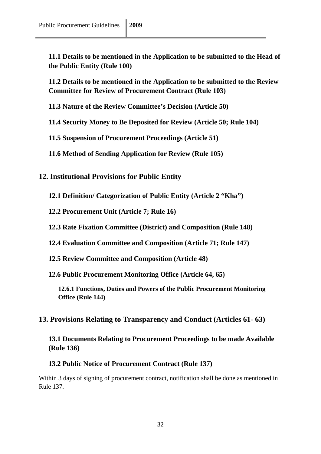**11.1 Details to be mentioned in the Application to be submitted to the Head of the Public Entity (Rule 100)** 

**11.2 Details to be mentioned in the Application to be submitted to the Review Committee for Review of Procurement Contract (Rule 103)** 

**11.3 Nature of the Review Committee's Decision (Article 50)** 

**11.4 Security Money to Be Deposited for Review (Article 50; Rule 104)** 

**11.5 Suspension of Procurement Proceedings (Article 51)** 

**11.6 Method of Sending Application for Review (Rule 105)** 

**12. Institutional Provisions for Public Entity** 

**12.1 Definition/ Categorization of Public Entity (Article 2 "Kha")** 

**12.2 Procurement Unit (Article 7; Rule 16)** 

**12.3 Rate Fixation Committee (District) and Composition (Rule 148)** 

**12.4 Evaluation Committee and Composition (Article 71; Rule 147)** 

**12.5 Review Committee and Composition (Article 48)** 

**12.6 Public Procurement Monitoring Office (Article 64, 65)** 

**12.6.1 Functions, Duties and Powers of the Public Procurement Monitoring Office (Rule 144)** 

#### **13. Provisions Relating to Transparency and Conduct (Articles 61- 63)**

**13.1 Documents Relating to Procurement Proceedings to be made Available (Rule 136)** 

#### **13.2 Public Notice of Procurement Contract (Rule 137)**

Within 3 days of signing of procurement contract, notification shall be done as mentioned in Rule 137.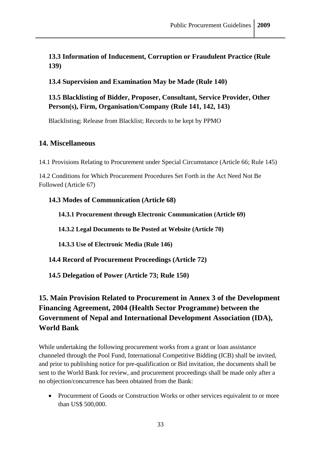**13.3 Information of Inducement, Corruption or Fraudulent Practice (Rule 139)** 

**13.4 Supervision and Examination May be Made (Rule 140)** 

### **13.5 Blacklisting of Bidder, Proposer, Consultant, Service Provider, Other Person(s), Firm, Organisation/Company (Rule 141, 142, 143)**

Blacklisting; Release from Blacklist; Records to be kept by PPMO

#### **14. Miscellaneous**

14.1 Provisions Relating to Procurement under Special Circumstance (Article 66; Rule 145)

14.2 Conditions for Which Procurement Procedures Set Forth in the Act Need Not Be Followed (Article 67)

#### **14.3 Modes of Communication (Article 68)**

**14.3.1 Procurement through Electronic Communication (Article 69)** 

**14.3.2 Legal Documents to Be Posted at Website (Article 70)** 

**14.3.3 Use of Electronic Media (Rule 146)** 

**14.4 Record of Procurement Proceedings (Article 72)** 

**14.5 Delegation of Power (Article 73; Rule 150)** 

# **15. Main Provision Related to Procurement in Annex 3 of the Development Financing Agreement, 2004 (Health Sector Programme) between the Government of Nepal and International Development Association (IDA), World Bank**

While undertaking the following procurement works from a grant or loan assistance channeled through the Pool Fund, International Competitive Bidding (ICB) shall be invited, and prior to publishing notice for pre-qualification or Bid invitation, the documents shall be sent to the World Bank for review, and procurement proceedings shall be made only after a no objection/concurrence has been obtained from the Bank:

• Procurement of Goods or Construction Works or other services equivalent to or more than US\$ 500,000.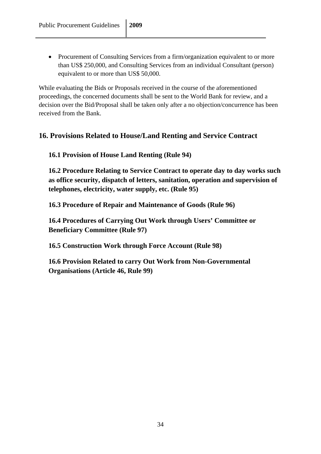• Procurement of Consulting Services from a firm/organization equivalent to or more than US\$ 250,000, and Consulting Services from an individual Consultant (person) equivalent to or more than US\$ 50,000.

While evaluating the Bids or Proposals received in the course of the aforementioned proceedings, the concerned documents shall be sent to the World Bank for review, and a decision over the Bid/Proposal shall be taken only after a no objection/concurrence has been received from the Bank.

#### **16. Provisions Related to House/Land Renting and Service Contract**

**16.1 Provision of House Land Renting (Rule 94)** 

**16.2 Procedure Relating to Service Contract to operate day to day works such as office security, dispatch of letters, sanitation, operation and supervision of telephones, electricity, water supply, etc. (Rule 95)** 

**16.3 Procedure of Repair and Maintenance of Goods (Rule 96)** 

**16.4 Procedures of Carrying Out Work through Users' Committee or Beneficiary Committee (Rule 97)** 

**16.5 Construction Work through Force Account (Rule 98)** 

**16.6 Provision Related to carry Out Work from Non-Governmental Organisations (Article 46, Rule 99)**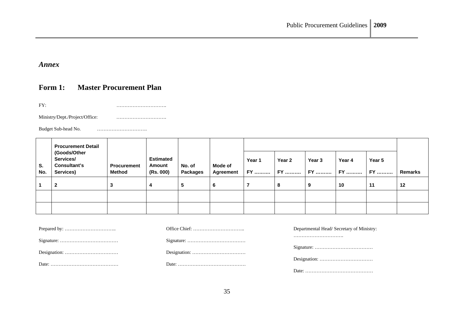#### *Annex*

#### **Form 1: Master Procurement Plan**

FY: ………………………….

Ministry/Dept./Project/Office: ………………………….

Budget Sub-head No. ………………………….

|           | <b>Procurement Detail</b> |                              |                     |                 |                      |           |           |           |           |           |         |
|-----------|---------------------------|------------------------------|---------------------|-----------------|----------------------|-----------|-----------|-----------|-----------|-----------|---------|
|           | (Goods/Other<br>Services/ |                              | <b>Estimated</b>    | No. of          |                      | Year 1    | Year 2    | Year 3    | Year 4    | Year 5    |         |
| S.<br>No. | Consultant's<br>Services) | <b>Procurement</b><br>Method | Amount<br>(Rs. 000) | <b>Packages</b> | Mode of<br>Agreement | <b>FY</b> | <b>FY</b> | <b>FY</b> | <b>FY</b> | <b>FY</b> | Remarks |
|           | າ                         | 3                            | 4                   | 5               | 6                    |           | 8         | 9         | 10        | 11        | 12      |
|           |                           |                              |                     |                 |                      |           |           |           |           |           |         |
|           |                           |                              |                     |                 |                      |           |           |           |           |           |         |

|  | Departmental Head/Secretary of Ministry:                                        |
|--|---------------------------------------------------------------------------------|
|  |                                                                                 |
|  | $Sigma: \ldots, \ldots, \ldots, \ldots, \ldots, \ldots, \ldots, \ldots, \ldots$ |
|  |                                                                                 |
|  |                                                                                 |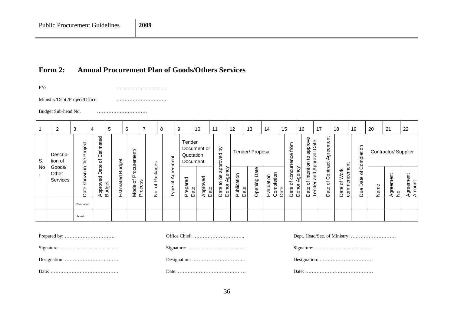# **Form 2: Annual Procurement Plan of Goods/Others Services**

FY: ………………………….

Ministry/Dept./Project/Office: ………………………….

Budget Sub-head No. ………………………….

|           | $\overline{2}$              | 3                       | 4                    | 5                              | 6                             | 7                             | 8                      | 9                  | 10                                   | 11                                             | 12                       | 13               | 14                           | 15                               | 16                                       | 17                                     | 18                                                      | 19               | 20   | 21                              | 22                                    |
|-----------|-----------------------------|-------------------------|----------------------|--------------------------------|-------------------------------|-------------------------------|------------------------|--------------------|--------------------------------------|------------------------------------------------|--------------------------|------------------|------------------------------|----------------------------------|------------------------------------------|----------------------------------------|---------------------------------------------------------|------------------|------|---------------------------------|---------------------------------------|
| S.        | Descrip-<br>tion of         | roject<br>≏<br>the      | stimated<br>ш<br>৳   | <b>Budget</b>                  | ì<br>cureme                   |                               | ment                   | Tender             | Document or<br>Quotation<br>Document | approved by                                    |                          | Tender/ Proposal |                              | from                             | Φ<br>ppro<br>ω<br>$\mathbf{S}$<br>ntion  | ent<br>al Date<br>greem<br>Approv      |                                                         | Completion       |      | Contractor/ Supplier            |                                       |
| <b>No</b> | Goods/<br>Other<br>Services | ≘.<br>shown<br>ate<br>ő | Date<br>59<br>Ö<br>g | stimated<br><b>Budget</b><br>ш | ē<br>௳<br>ъ<br>Proce:<br>Mode | ackages<br>ے<br>တ္တ<br>৳<br>ş | greei<br>⋖<br>ъ<br>ype | ared<br>Prepi<br>Ő | ၟၟ<br>Ö<br>ate<br>Date<br>윤<br>⊲     | Qency<br>ed<br>Q<br>₽<br>$\frac{1}{2}$<br>Date | ation<br>Publica<br>Date | Date<br>Opening  | ompletion<br>Evaluation<br>Ő | concurrence<br>đ<br>Date<br>Date | Qency<br>Inter<br>đ<br>Donor<br>ate<br>Ő | Contract<br>and<br>đ<br>Tender<br>Date | commencement<br>Work<br>$\overline{\sigma}$<br>ate<br>Ő | ъ<br>Date<br>Due | Name | ement<br>Agree<br>$\frac{1}{2}$ | $\overline{5}$<br>έ<br>Amount<br>Agre |
|           |                             | Estimated               |                      |                                |                               |                               |                        |                    |                                      |                                                |                          |                  |                              |                                  |                                          |                                        |                                                         |                  |      |                                 |                                       |
|           |                             | Actual                  |                      |                                |                               |                               |                        |                    |                                      |                                                |                          |                  |                              |                                  |                                          |                                        |                                                         |                  |      |                                 |                                       |

Dept. Head/Sec. of Ministry: ……………………….

Signature: ………………………………

Designation: ……………………………

Date: ……………………………………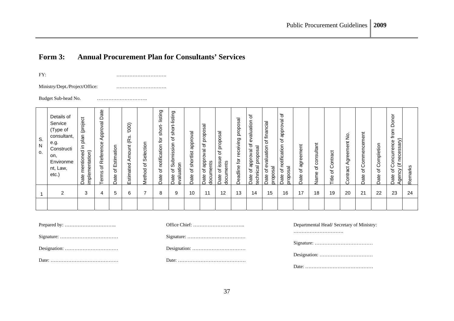# **Form 3: Annual Procurement Plan for Consultants' Services**

FY: ………………………….

Ministry/Dept./Project/Office: ………………………….

Budget Sub-head No. ………………………….

| Signature: $\dots \dots \dots \dots \dots \dots \dots \dots \dots \dots$ |
|--------------------------------------------------------------------------|
|                                                                          |
|                                                                          |

Departmental Head/ Secretary of Ministry:

Signature: ………………………………

………………………….

Designation: ……………………………

Date: ……………………………………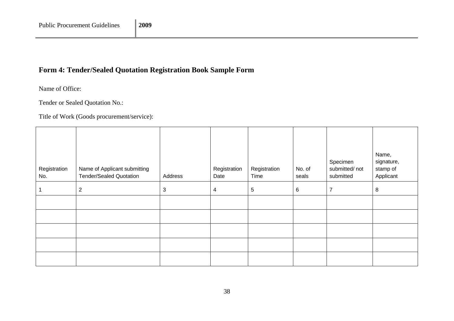# **Form 4: Tender/Sealed Quotation Registration Book Sample Form**

Name of Office:

Tender or Sealed Quotation No.:

Title of Work (Goods procurement/service):

| Registration<br>No. | Name of Applicant submitting<br><b>Tender/Sealed Quotation</b> | Address    | Registration<br>Date | Registration<br>Time | No. of<br>seals | Specimen<br>submitted/not<br>submitted | Name,<br>signature,<br>stamp of<br>Applicant |
|---------------------|----------------------------------------------------------------|------------|----------------------|----------------------|-----------------|----------------------------------------|----------------------------------------------|
|                     | $\overline{2}$                                                 | $\sqrt{3}$ | 4                    | $\sqrt{5}$           | 6               | 7                                      | 8                                            |
|                     |                                                                |            |                      |                      |                 |                                        |                                              |
|                     |                                                                |            |                      |                      |                 |                                        |                                              |
|                     |                                                                |            |                      |                      |                 |                                        |                                              |
|                     |                                                                |            |                      |                      |                 |                                        |                                              |
|                     |                                                                |            |                      |                      |                 |                                        |                                              |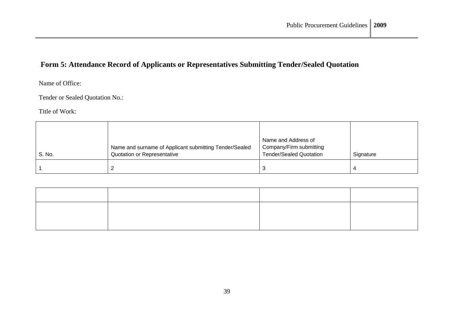# **Form 5: Attendance Record of Applicants or Representatives Submitting Tender/Sealed Quotation**

Name of Office:

Tender or Sealed Quotation No.:

Title of Work:

| S. No. | Name and surname of Applicant submitting Tender/Sealed<br>Quotation or Representative | Name and Address of<br>Company/Firm submitting<br><b>Tender/Sealed Quotation</b> | Signature |
|--------|---------------------------------------------------------------------------------------|----------------------------------------------------------------------------------|-----------|
|        |                                                                                       |                                                                                  |           |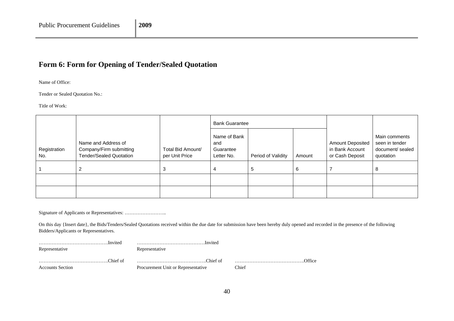# **Form 6: Form for Opening of Tender/Sealed Quotation**

Name of Office:

Tender or Sealed Quotation No.:

Title of Work:

|                     |                                                                                  | <b>Bank Guarantee</b>               |                                                |                    |        |                                                        |                                                                  |
|---------------------|----------------------------------------------------------------------------------|-------------------------------------|------------------------------------------------|--------------------|--------|--------------------------------------------------------|------------------------------------------------------------------|
| Registration<br>No. | Name and Address of<br>Company/Firm submitting<br><b>Tender/Sealed Quotation</b> | Total Bid Amount/<br>per Unit Price | Name of Bank<br>and<br>Guarantee<br>Letter No. | Period of Validity | Amount | Amount Deposited<br>in Bank Account<br>or Cash Deposit | Main comments<br>seen in tender<br>document/ sealed<br>quotation |
|                     | $\overline{2}$                                                                   | 3                                   | 4                                              | G                  |        |                                                        | O                                                                |
|                     |                                                                                  |                                     |                                                |                    |        |                                                        |                                                                  |
|                     |                                                                                  |                                     |                                                |                    |        |                                                        |                                                                  |

Signature of Applicants or Representatives: ……………………..

On this day {Insert date}, the Bids/Tenders/Sealed Quotations received within the due date for submission have been hereby duly opened and recorded in the presence of the following Bidders/Applicants or Representatives.

| Invited                 | Invited                            |        |
|-------------------------|------------------------------------|--------|
| Representative          | Representative                     |        |
| Chief of                | Chief of                           | Office |
| <b>Accounts Section</b> | Procurement Unit or Representative | Chief  |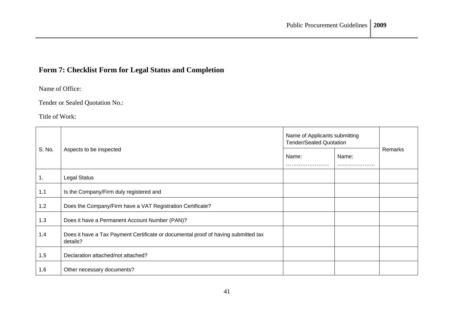# **Form 7: Checklist Form for Legal Status and Completion**

Name of Office:

Tender or Sealed Quotation No.:

Title of Work:

|        |                                                                                                | Name of Applicants submitting<br><b>Tender/Sealed Quotation</b> |       |         |
|--------|------------------------------------------------------------------------------------------------|-----------------------------------------------------------------|-------|---------|
| S. No. | Aspects to be inspected                                                                        | Name:                                                           | Name: | Remarks |
| 1.     | <b>Legal Status</b>                                                                            |                                                                 |       |         |
| 1.1    | Is the Company/Firm duly registered and                                                        |                                                                 |       |         |
| 1.2    | Does the Company/Firm have a VAT Registration Certificate?                                     |                                                                 |       |         |
| 1.3    | Does it have a Permanent Account Number (PAN)?                                                 |                                                                 |       |         |
| 1.4    | Does it have a Tax Payment Certificate or documental proof of having submitted tax<br>details? |                                                                 |       |         |
| 1.5    | Declaration attached/not attached?                                                             |                                                                 |       |         |
| 1.6    | Other necessary documents?                                                                     |                                                                 |       |         |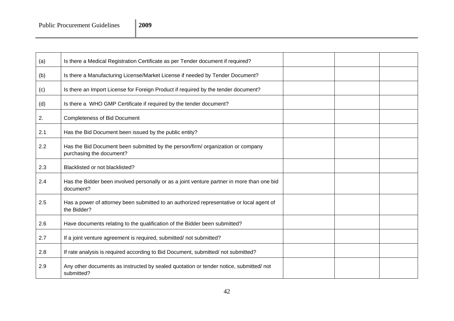| (a) | Is there a Medical Registration Certificate as per Tender document if required?                             |  |  |
|-----|-------------------------------------------------------------------------------------------------------------|--|--|
| (b) | Is there a Manufacturing License/Market License if needed by Tender Document?                               |  |  |
| (c) | Is there an Import License for Foreign Product if required by the tender document?                          |  |  |
| (d) | Is there a WHO GMP Certificate if required by the tender document?                                          |  |  |
| 2.  | <b>Completeness of Bid Document</b>                                                                         |  |  |
| 2.1 | Has the Bid Document been issued by the public entity?                                                      |  |  |
| 2.2 | Has the Bid Document been submitted by the person/firm/ organization or company<br>purchasing the document? |  |  |
| 2.3 | Blacklisted or not blacklisted?                                                                             |  |  |
| 2.4 | Has the Bidder been involved personally or as a joint venture partner in more than one bid<br>document?     |  |  |
| 2.5 | Has a power of attorney been submitted to an authorized representative or local agent of<br>the Bidder?     |  |  |
| 2.6 | Have documents relating to the qualification of the Bidder been submitted?                                  |  |  |
| 2.7 | If a joint venture agreement is required, submitted/not submitted?                                          |  |  |
| 2.8 | If rate analysis is required according to Bid Document, submitted/not submitted?                            |  |  |
| 2.9 | Any other documents as instructed by sealed quotation or tender notice, submitted/not<br>submitted?         |  |  |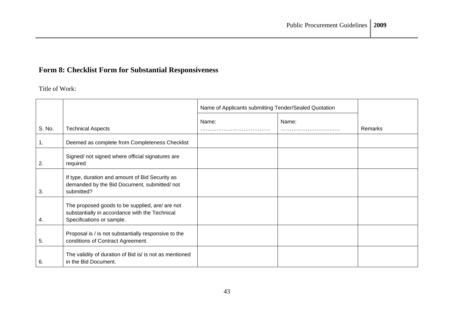# **Form 8: Checklist Form for Substantial Responsiveness**

Title of Work:

|        |                                                                                                                                | Name of Applicants submitting Tender/Sealed Quotation |       |         |
|--------|--------------------------------------------------------------------------------------------------------------------------------|-------------------------------------------------------|-------|---------|
| S. No. | <b>Technical Aspects</b>                                                                                                       | Name:                                                 | Name: | Remarks |
| 1.     | Deemed as complete from Completeness Checklist                                                                                 |                                                       |       |         |
| 2.     | Signed/ not signed where official signatures are<br>required                                                                   |                                                       |       |         |
| 3.     | If type, duration and amount of Bid Security as<br>demanded by the Bid Document, submitted/not<br>submitted?                   |                                                       |       |         |
| 4.     | The proposed goods to be supplied, are/ are not<br>substantially in accordance with the Technical<br>Specifications or sample. |                                                       |       |         |
| 5.     | Proposal is / is not substantially responsive to the<br>conditions of Contract Agreement.                                      |                                                       |       |         |
| 6.     | The validity of duration of Bid is/ is not as mentioned<br>in the Bid Document.                                                |                                                       |       |         |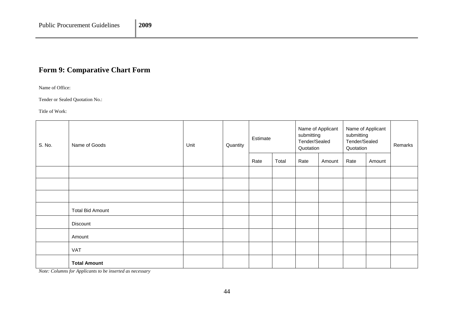# **Form 9: Comparative Chart Form**

Name of Office:

Tender or Sealed Quotation No.:

Title of Work:

| S. No. | Name of Goods           | Unit | Quantity | Estimate |       |      |        |      |        |  |  |  |  |  |  |  |  |  |  |  |  |  |  | Name of Applicant<br>submitting<br>Tender/Sealed<br>Quotation |  | Name of Applicant<br>submitting<br>Tender/Sealed<br>Quotation |  | Remarks |
|--------|-------------------------|------|----------|----------|-------|------|--------|------|--------|--|--|--|--|--|--|--|--|--|--|--|--|--|--|---------------------------------------------------------------|--|---------------------------------------------------------------|--|---------|
|        |                         |      |          | Rate     | Total | Rate | Amount | Rate | Amount |  |  |  |  |  |  |  |  |  |  |  |  |  |  |                                                               |  |                                                               |  |         |
|        |                         |      |          |          |       |      |        |      |        |  |  |  |  |  |  |  |  |  |  |  |  |  |  |                                                               |  |                                                               |  |         |
|        |                         |      |          |          |       |      |        |      |        |  |  |  |  |  |  |  |  |  |  |  |  |  |  |                                                               |  |                                                               |  |         |
|        |                         |      |          |          |       |      |        |      |        |  |  |  |  |  |  |  |  |  |  |  |  |  |  |                                                               |  |                                                               |  |         |
|        | <b>Total Bid Amount</b> |      |          |          |       |      |        |      |        |  |  |  |  |  |  |  |  |  |  |  |  |  |  |                                                               |  |                                                               |  |         |
|        | Discount                |      |          |          |       |      |        |      |        |  |  |  |  |  |  |  |  |  |  |  |  |  |  |                                                               |  |                                                               |  |         |
|        | Amount                  |      |          |          |       |      |        |      |        |  |  |  |  |  |  |  |  |  |  |  |  |  |  |                                                               |  |                                                               |  |         |
|        | VAT                     |      |          |          |       |      |        |      |        |  |  |  |  |  |  |  |  |  |  |  |  |  |  |                                                               |  |                                                               |  |         |
|        | <b>Total Amount</b>     |      |          |          |       |      |        |      |        |  |  |  |  |  |  |  |  |  |  |  |  |  |  |                                                               |  |                                                               |  |         |

*Note: Columns for Applicants to be inserted as necessary*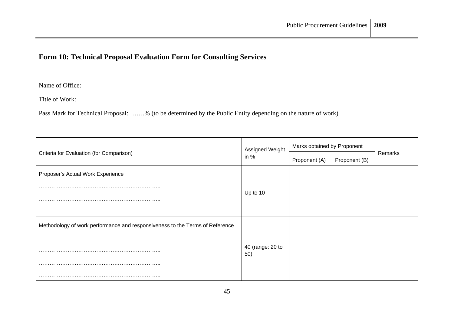# **Form 10: Technical Proposal Evaluation Form for Consulting Services**

Name of Office:

Title of Work:

Pass Mark for Technical Proposal: …….% (to be determined by the Public Entity depending on the nature of work)

| Criteria for Evaluation (for Comparison)                                     | Assigned Weight<br>in $%$ | Marks obtained by Proponent |               |         |
|------------------------------------------------------------------------------|---------------------------|-----------------------------|---------------|---------|
|                                                                              |                           | Proponent (A)               | Proponent (B) | Remarks |
| Proposer's Actual Work Experience                                            |                           |                             |               |         |
|                                                                              | Up to 10                  |                             |               |         |
|                                                                              |                           |                             |               |         |
|                                                                              |                           |                             |               |         |
| Methodology of work performance and responsiveness to the Terms of Reference |                           |                             |               |         |
|                                                                              |                           |                             |               |         |
|                                                                              | 40 (range: 20 to<br>50)   |                             |               |         |
|                                                                              |                           |                             |               |         |
|                                                                              |                           |                             |               |         |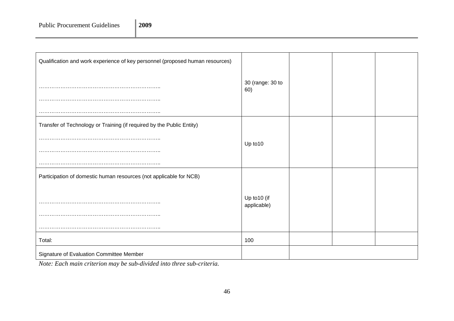| Qualification and work experience of key personnel (proposed human resources) |                             |  |  |
|-------------------------------------------------------------------------------|-----------------------------|--|--|
|                                                                               |                             |  |  |
|                                                                               | 30 (range: 30 to<br>60)     |  |  |
|                                                                               |                             |  |  |
|                                                                               |                             |  |  |
| Transfer of Technology or Training (if required by the Public Entity)         |                             |  |  |
|                                                                               | Up to 10                    |  |  |
|                                                                               |                             |  |  |
|                                                                               |                             |  |  |
| Participation of domestic human resources (not applicable for NCB)            |                             |  |  |
|                                                                               |                             |  |  |
|                                                                               | Up to 10 (if<br>applicable) |  |  |
|                                                                               |                             |  |  |
|                                                                               |                             |  |  |
| Total:                                                                        | 100                         |  |  |
| Signature of Evaluation Committee Member                                      |                             |  |  |

*Note: Each main criterion may be sub-divided into three sub-criteria.*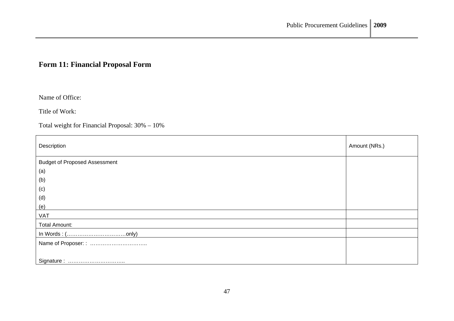# **Form 11: Financial Proposal Form**

Name of Office:

Title of Work:

Total weight for Financial Proposal: 30% – 10%

| Description                                                                                   | Amount (NRs.) |
|-----------------------------------------------------------------------------------------------|---------------|
| <b>Budget of Proposed Assessment</b>                                                          |               |
| (a)                                                                                           |               |
| (b)                                                                                           |               |
| (c)                                                                                           |               |
| (d)                                                                                           |               |
| (e)                                                                                           |               |
| <b>VAT</b>                                                                                    |               |
| Total Amount:                                                                                 |               |
| In Words : $(\ldots, \ldots, \ldots, \ldots, \ldots, \ldots, \ldots, \ldots, \ldots, \ldots)$ |               |
|                                                                                               |               |
|                                                                                               |               |
|                                                                                               |               |